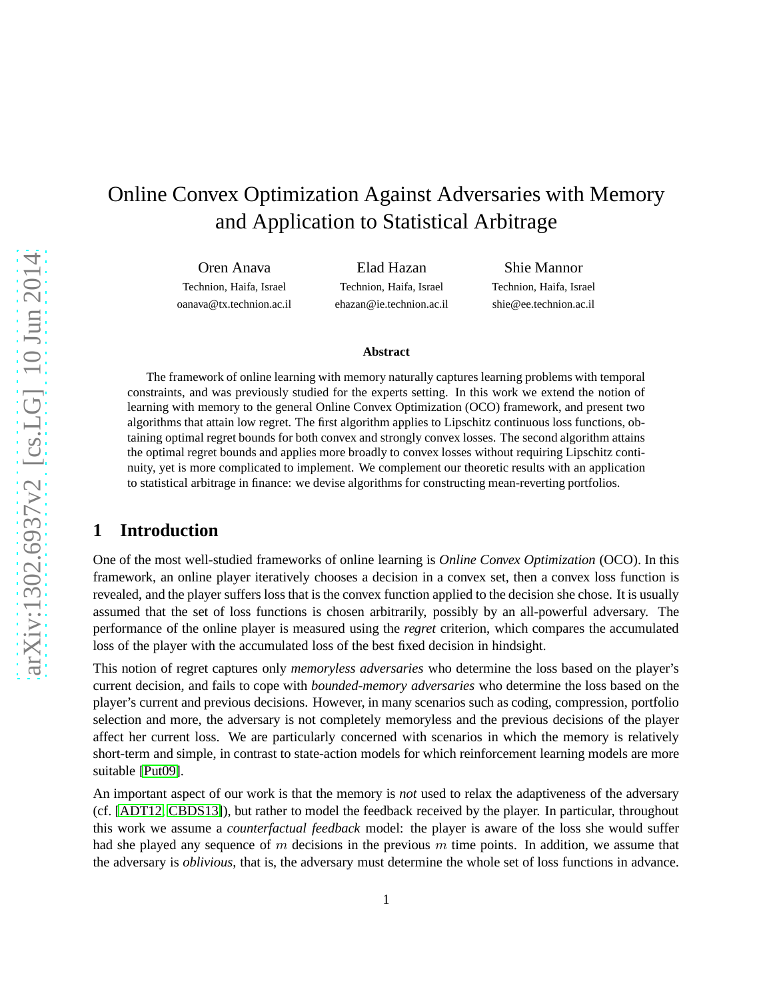# Online Convex Optimization Against Adversaries with Memory and Application to Statistical Arbitrage

Oren Anava Technion, Haifa, Israel oanava@tx.technion.ac.il

Elad Hazan Technion, Haifa, Israel ehazan@ie.technion.ac.il

Shie Mannor Technion, Haifa, Israel shie@ee.technion.ac.il

#### **Abstract**

The framework of online learning with memory naturally captures learning problems with temporal constraints, and was previously studied for the experts setting. In this work we extend the notion of learning with memory to the general Online Convex Optimization (OCO) framework, and present two algorithms that attain low regret. The first algorithm applies to Lipschitz continuous loss functions, obtaining optimal regret bounds for both convex and strongly convex losses. The second algorithm attains the optimal regret bounds and applies more broadly to convex losses without requiring Lipschitz continuity, yet is more complicated to implement. We complement our theoretic results with an application to statistical arbitrage in finance: we devise algorithms for constructing mean-reverting portfolios.

## **1 Introduction**

One of the most well-studied frameworks of online learning is *Online Convex Optimization* (OCO). In this framework, an online player iteratively chooses a decision in a convex set, then a convex loss function is revealed, and the player suffers loss that is the convex function applied to the decision she chose. It is usually assumed that the set of loss functions is chosen arbitrarily, possibly by an all-powerful adversary. The performance of the online player is measured using the *regret* criterion, which compares the accumulated loss of the player with the accumulated loss of the best fixed decision in hindsight.

This notion of regret captures only *memoryless adversaries* who determine the loss based on the player's current decision, and fails to cope with *bounded-memory adversaries* who determine the loss based on the player's current and previous decisions. However, in many scenarios such as coding, compression, portfolio selection and more, the adversary is not completely memoryless and the previous decisions of the player affect her current loss. We are particularly concerned with scenarios in which the memory is relatively short-term and simple, in contrast to state-action models for which reinforcement learning models are more suitable [\[Put09\]](#page-10-0).

An important aspect of our work is that the memory is *not* used to relax the adaptiveness of the adversary (cf. [\[ADT12,](#page-9-0) [CBDS13\]](#page-9-1)), but rather to model the feedback received by the player. In particular, throughout this work we assume a *counterfactual feedback* model: the player is aware of the loss she would suffer had she played any sequence of  $m$  decisions in the previous  $m$  time points. In addition, we assume that the adversary is *oblivious*, that is, the adversary must determine the whole set of loss functions in advance.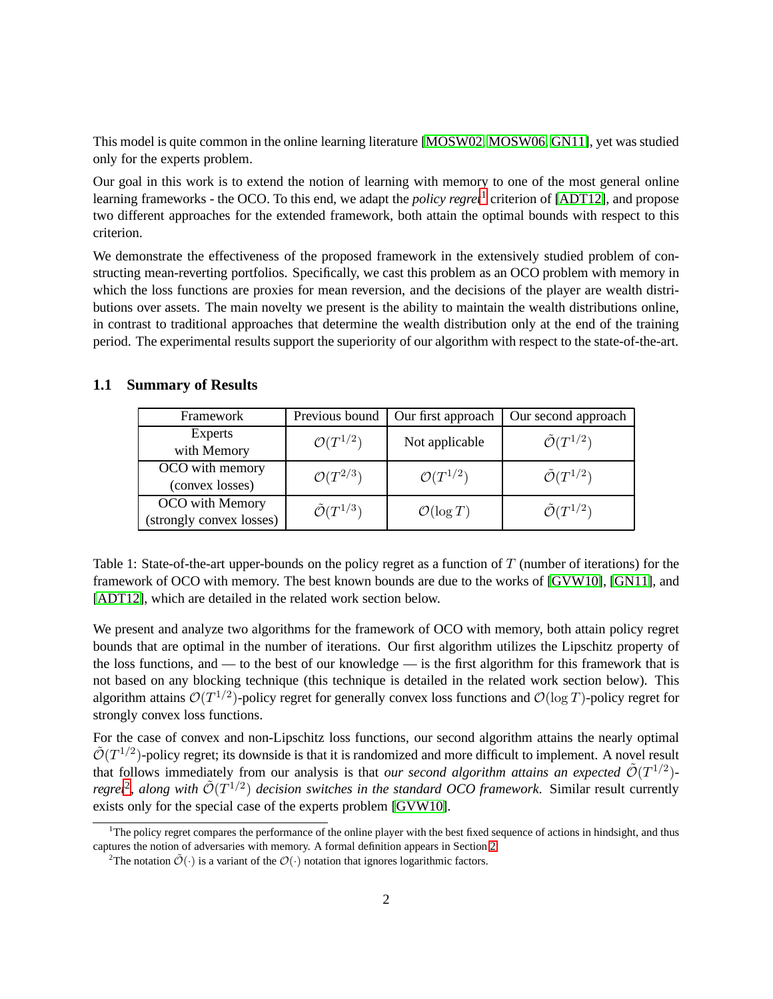This model is quite common in the online learning literature [\[MOSW02,](#page-10-1) [MOSW06,](#page-10-2) [GN11\]](#page-9-2), yet was studied only for the experts problem.

Our goal in this work is to extend the notion of learning with memory to one of the most general online learning frameworks - the OCO. To this end, we adapt the *policy regret*<sup>[1](#page-1-0)</sup> criterion of [\[ADT12\]](#page-9-0), and propose two different approaches for the extended framework, both attain the optimal bounds with respect to this criterion.

We demonstrate the effectiveness of the proposed framework in the extensively studied problem of constructing mean-reverting portfolios. Specifically, we cast this problem as an OCO problem with memory in which the loss functions are proxies for mean reversion, and the decisions of the player are wealth distributions over assets. The main novelty we present is the ability to maintain the wealth distributions online, in contrast to traditional approaches that determine the wealth distribution only at the end of the training period. The experimental results support the superiority of our algorithm with respect to the state-of-the-art.

#### **1.1 Summary of Results**

| Framework                                   | Previous bound                 | Our first approach     | Our second approach            |
|---------------------------------------------|--------------------------------|------------------------|--------------------------------|
| Experts<br>with Memory                      | $\mathcal{O}(T^{1/2})$         | Not applicable         | $\tilde{\mathcal{O}}(T^{1/2})$ |
| OCO with memory<br>(convex losses)          | $\mathcal{O}(T^{2/3})$         | $\mathcal{O}(T^{1/2})$ | $\tilde{\mathcal{O}}(T^{1/2})$ |
| OCO with Memory<br>(strongly convex losses) | $\tilde{\mathcal{O}}(T^{1/3})$ | $\mathcal{O}(\log T)$  | $\tilde{\mathcal{O}}(T^{1/2})$ |

Table 1: State-of-the-art upper-bounds on the policy regret as a function of T (number of iterations) for the framework of OCO with memory. The best known bounds are due to the works of [\[GVW10\]](#page-9-3), [\[GN11\]](#page-9-2), and [\[ADT12\]](#page-9-0), which are detailed in the related work section below.

We present and analyze two algorithms for the framework of OCO with memory, both attain policy regret bounds that are optimal in the number of iterations. Our first algorithm utilizes the Lipschitz property of the loss functions, and — to the best of our knowledge — is the first algorithm for this framework that is not based on any blocking technique (this technique is detailed in the related work section below). This algorithm attains  $\mathcal{O}(T^{1/2})$ -policy regret for generally convex loss functions and  $\mathcal{O}(\log T)$ -policy regret for strongly convex loss functions.

For the case of convex and non-Lipschitz loss functions, our second algorithm attains the nearly optimal  $\tilde{\mathcal{O}}(T^{1/2})$ -policy regret; its downside is that it is randomized and more difficult to implement. A novel result that follows immediately from our analysis is that *our second algorithm attains an expected*  $\tilde{\mathcal{O}}(T^{1/2})$ *regret*<sup>[2](#page-1-1)</sup>, along with  $\tilde{\mathcal{O}}(T^{1/2})$  *decision switches in the standard OCO framework*. Similar result currently exists only for the special case of the experts problem [\[GVW10\]](#page-9-3).

 $1$ <sup>1</sup>The policy regret compares the performance of the online player with the best fixed sequence of actions in hindsight, and thus captures the notion of adversaries with memory. A formal definition appears in Section [2.](#page-2-0)

<span id="page-1-1"></span><span id="page-1-0"></span><sup>&</sup>lt;sup>2</sup>The notation  $\tilde{\mathcal{O}}(\cdot)$  is a variant of the  $\mathcal{O}(\cdot)$  notation that ignores logarithmic factors.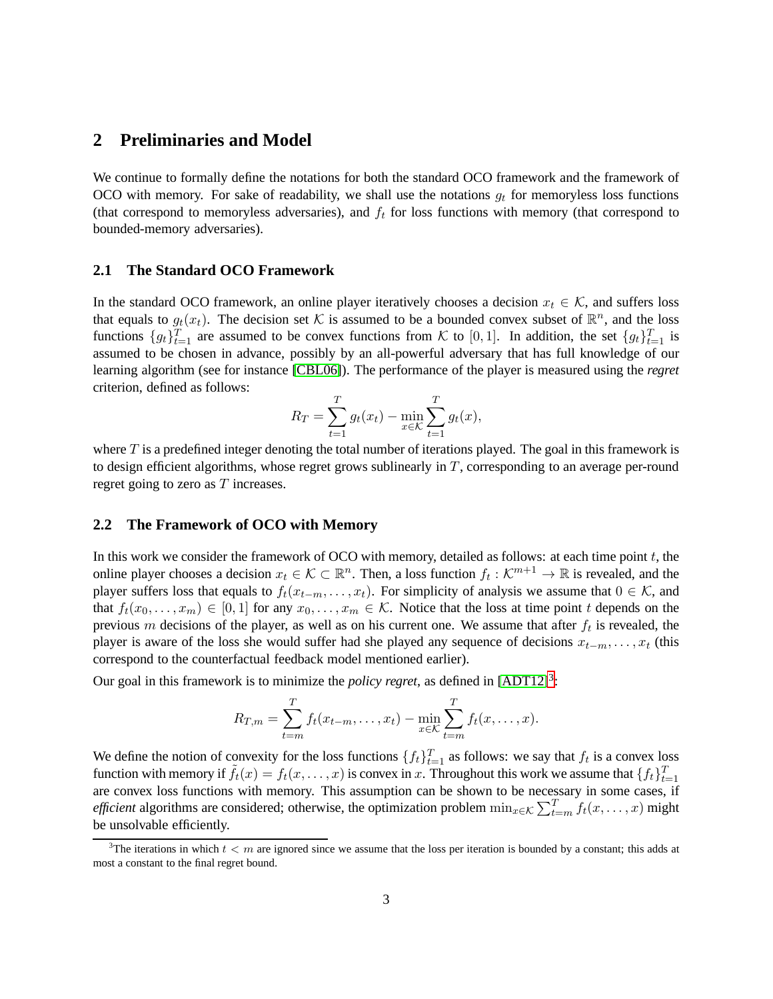## <span id="page-2-0"></span>**2 Preliminaries and Model**

We continue to formally define the notations for both the standard OCO framework and the framework of OCO with memory. For sake of readability, we shall use the notations  $g_t$  for memoryless loss functions (that correspond to memoryless adversaries), and  $f_t$  for loss functions with memory (that correspond to bounded-memory adversaries).

#### **2.1 The Standard OCO Framework**

In the standard OCO framework, an online player iteratively chooses a decision  $x_t \in \mathcal{K}$ , and suffers loss that equals to  $g_t(x_t)$ . The decision set K is assumed to be a bounded convex subset of  $\mathbb{R}^n$ , and the loss functions  $\{g_t\}_{t=1}^T$  are assumed to be convex functions from K to [0, 1]. In addition, the set  $\{g_t\}_{t=1}^T$  is assumed to be chosen in advance, possibly by an all-powerful adversary that has full knowledge of our learning algorithm (see for instance [\[CBL06\]](#page-9-4)). The performance of the player is measured using the *regret* criterion, defined as follows:

$$
R_T = \sum_{t=1}^T g_t(x_t) - \min_{x \in \mathcal{K}} \sum_{t=1}^T g_t(x),
$$

where  $T$  is a predefined integer denoting the total number of iterations played. The goal in this framework is to design efficient algorithms, whose regret grows sublinearly in  $T$ , corresponding to an average per-round regret going to zero as  $T$  increases.

#### **2.2 The Framework of OCO with Memory**

In this work we consider the framework of OCO with memory, detailed as follows: at each time point  $t$ , the online player chooses a decision  $x_t \in \mathcal{K} \subset \mathbb{R}^n$ . Then, a loss function  $f_t : \mathcal{K}^{m+1} \to \mathbb{R}$  is revealed, and the player suffers loss that equals to  $f_t(x_{t-m}, \ldots, x_t)$ . For simplicity of analysis we assume that  $0 \in \mathcal{K}$ , and that  $f_t(x_0, \ldots, x_m) \in [0, 1]$  for any  $x_0, \ldots, x_m \in \mathcal{K}$ . Notice that the loss at time point t depends on the previous m decisions of the player, as well as on his current one. We assume that after  $f_t$  is revealed, the player is aware of the loss she would suffer had she played any sequence of decisions  $x_{t-m}, \ldots, x_t$  (this correspond to the counterfactual feedback model mentioned earlier).

Our goal in this framework is to minimize the *policy regret*, as defined in  $[ADT12]$ <sup>[3](#page-2-1)</sup>:

$$
R_{T,m} = \sum_{t=m}^{T} f_t(x_{t-m}, \dots, x_t) - \min_{x \in \mathcal{K}} \sum_{t=m}^{T} f_t(x, \dots, x).
$$

We define the notion of convexity for the loss functions  $\{f_t\}_{t=1}^T$  as follows: we say that  $f_t$  is a convex loss function with memory if  $\tilde{f}_t(x) = f_t(x, \dots, x)$  is convex in x. Throughout this work we assume that  $\{f_t\}_{t=1}^T$ are convex loss functions with memory. This assumption can be shown to be necessary in some cases, if *efficient* algorithms are considered; otherwise, the optimization problem  $\min_{x \in \mathcal{K}} \sum_{t=m}^{T} f_t(x, \dots, x)$  might be unsolvable efficiently.

<span id="page-2-1"></span><sup>&</sup>lt;sup>3</sup>The iterations in which  $t < m$  are ignored since we assume that the loss per iteration is bounded by a constant; this adds at most a constant to the final regret bound.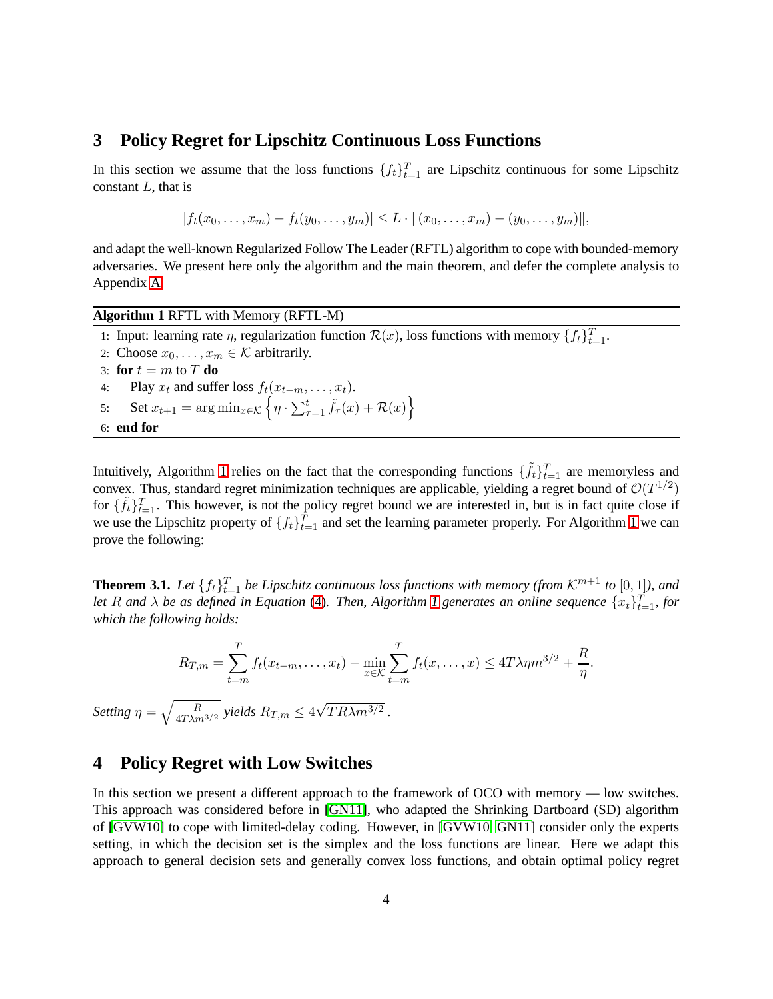### <span id="page-3-1"></span>**3 Policy Regret for Lipschitz Continuous Loss Functions**

In this section we assume that the loss functions  $\{f_t\}_{t=1}^T$  are Lipschitz continuous for some Lipschitz constant  $L$ , that is

$$
|f_t(x_0,\ldots,x_m)-f_t(y_0,\ldots,y_m)|\leq L\cdot||(x_0,\ldots,x_m)-(y_0,\ldots,y_m)||,
$$

and adapt the well-known Regularized Follow The Leader (RFTL) algorithm to cope with bounded-memory adversaries. We present here only the algorithm and the main theorem, and defer the complete analysis to Appendix [A.](#page-10-3)

<span id="page-3-0"></span>**Algorithm 1** RFTL with Memory (RFTL-M)

1: Input: learning rate  $\eta$ , regularization function  $\mathcal{R}(x)$ , loss functions with memory  $\{f_t\}_{t=1}^T$ .

2: Choose  $x_0, \ldots, x_m \in \mathcal{K}$  arbitrarily.

3: **for**  $t = m$  to  $T$  **do** 

4: Play  $x_t$  and suffer loss  $f_t(x_{t-m}, \ldots, x_t)$ .

5: Set  $x_{t+1} = \arg \min_{x \in \mathcal{K}} \left\{ \eta \cdot \sum_{\tau=1}^t \tilde{f}_{\tau}(x) + \mathcal{R}(x) \right\}$ 

6: **end for**

Intuitively, Algorithm [1](#page-3-0) relies on the fact that the corresponding functions  $\{\tilde{f}_t\}_{t=1}^T$  are memoryless and convex. Thus, standard regret minimization techniques are applicable, yielding a regret bound of  $\mathcal{O}(T^{1/2})$ for  $\{\tilde{f}_t\}_{t=1}^T$ . This however, is not the policy regret bound we are interested in, but is in fact quite close if we use the Lipschitz property of  $\{f_t\}_{t=1}^T$  and set the learning parameter properly. For Algorithm [1](#page-3-0) we can prove the following:

<span id="page-3-2"></span>**Theorem 3.1.** Let  $\{f_t\}_{t=1}^T$  be Lipschitz continuous loss functions with memory (from  $K^{m+1}$  to  $[0,1]$ ), and *let* R and  $\lambda$  be as defined in Equation [\(4\)](#page-11-0). Then, Algorithm [1](#page-3-0) generates an online sequence  $\{x_t\}_{t=1}^T$ , for *which the following holds:*

$$
R_{T,m} = \sum_{t=m}^{T} f_t(x_{t-m}, \dots, x_t) - \min_{x \in \mathcal{K}} \sum_{t=m}^{T} f_t(x, \dots, x) \le 4T\lambda \eta m^{3/2} + \frac{R}{\eta}.
$$
  

$$
\sqrt{\frac{R}{\sqrt{\eta m}}} \text{ yields } R_{T,m} \le 4\sqrt{T R \lambda m^{3/2}}
$$

*Setting*  $\eta = \sqrt{\frac{R}{4T\lambda m^{3/2}}}$  *yields*  $R_{T,m} \leq 4\sqrt{TR\lambda m^{3/2}}$ .

## <span id="page-3-3"></span>**4 Policy Regret with Low Switches**

In this section we present a different approach to the framework of OCO with memory — low switches. This approach was considered before in [\[GN11\]](#page-9-2), who adapted the Shrinking Dartboard (SD) algorithm of [\[GVW10\]](#page-9-3) to cope with limited-delay coding. However, in [\[GVW10,](#page-9-3) [GN11\]](#page-9-2) consider only the experts setting, in which the decision set is the simplex and the loss functions are linear. Here we adapt this approach to general decision sets and generally convex loss functions, and obtain optimal policy regret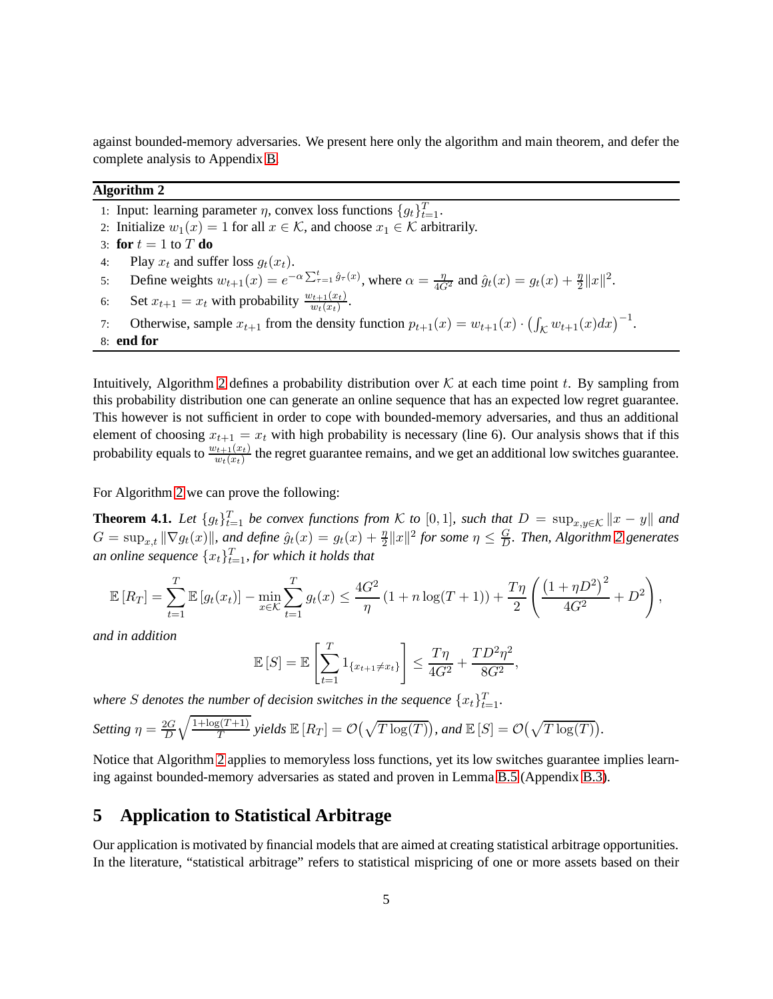against bounded-memory adversaries. We present here only the algorithm and main theorem, and defer the complete analysis to Appendix [B.](#page-14-0)

#### <span id="page-4-0"></span>**Algorithm 2**

1: Input: learning parameter  $\eta$ , convex loss functions  $\{g_t\}_{t=1}^T$ .

- 2: Initialize  $w_1(x) = 1$  for all  $x \in \mathcal{K}$ , and choose  $x_1 \in \mathcal{K}$  arbitrarily.
- 3: **for**  $t = 1$  to  $T$  **do**
- 4: Play  $x_t$  and suffer loss  $g_t(x_t)$ .
- 5: Define weights  $w_{t+1}(x) = e^{-\alpha \sum_{\tau=1}^t \hat{g}_\tau(x)}$ , where  $\alpha = \frac{\eta}{4G^2}$  and  $\hat{g}_t(x) = g_t(x) + \frac{\eta}{2} ||x||^2$ .
- 6: Set  $x_{t+1} = x_t$  with probability  $\frac{w_{t+1}(x_t)}{w_t(x_t)}$ .
- 7: Otherwise, sample  $x_{t+1}$  from the density function  $p_{t+1}(x) = w_{t+1}(x) \cdot (\int_{\mathcal{K}} w_{t+1}(x) dx)^{-1}$ .
- 8: **end for**

Intuitively, Algorithm [2](#page-4-0) defines a probability distribution over  $K$  at each time point t. By sampling from this probability distribution one can generate an online sequence that has an expected low regret guarantee. This however is not sufficient in order to cope with bounded-memory adversaries, and thus an additional element of choosing  $x_{t+1} = x_t$  with high probability is necessary (line 6). Our analysis shows that if this probability equals to  $\frac{w_{t+1}(x_t)}{w_t(x_t)}$  the regret guarantee remains, and we get an additional low switches guarantee.

For Algorithm [2](#page-4-0) we can prove the following:

<span id="page-4-1"></span>**Theorem 4.1.** *Let*  $\{g_t\}_{t=1}^T$  *be convex functions from* K *to* [0, 1]*, such that*  $D = \sup_{x,y \in K} ||x - y||$  *and*  $G = \sup_{x,t} ||\nabla g_t(x)||$ , and define  $\hat{g}_t(x) = g_t(x) + \frac{\eta}{2} ||x||^2$  for some  $\eta \leq \frac{G}{D}$ D *. Then, Algorithm [2](#page-4-0) generates* an online sequence  $\{x_t\}_{t=1}^T$ , for which it holds that

$$
\mathbb{E}[R_T] = \sum_{t=1}^T \mathbb{E}[g_t(x_t)] - \min_{x \in \mathcal{K}} \sum_{t=1}^T g_t(x) \le \frac{4G^2}{\eta} (1 + n \log(T+1)) + \frac{T\eta}{2} \left( \frac{(1 + \eta D^2)^2}{4G^2} + D^2 \right),
$$

*and in addition*

$$
\mathbb{E}[S] = \mathbb{E}\left[\sum_{t=1}^{T} 1_{\{x_{t+1} \neq x_t\}}\right] \le \frac{T\eta}{4G^2} + \frac{TD^2\eta^2}{8G^2},
$$

where S denotes the number of decision switches in the sequence  $\{x_t\}_{t=1}^T$ .

Setting 
$$
\eta = \frac{2G}{D} \sqrt{\frac{1 + \log(T + 1)}{T}}
$$
 yields  $\mathbb{E}[R_T] = \mathcal{O}(\sqrt{T \log(T)})$ , and  $\mathbb{E}[S] = \mathcal{O}(\sqrt{T \log(T)})$ .

Notice that Algorithm [2](#page-4-0) applies to memoryless loss functions, yet its low switches guarantee implies learning against bounded-memory adversaries as stated and proven in Lemma [B.5](#page-20-0) (Appendix [B.3\)](#page-20-1).

## **5 Application to Statistical Arbitrage**

Our application is motivated by financial models that are aimed at creating statistical arbitrage opportunities. In the literature, "statistical arbitrage" refers to statistical mispricing of one or more assets based on their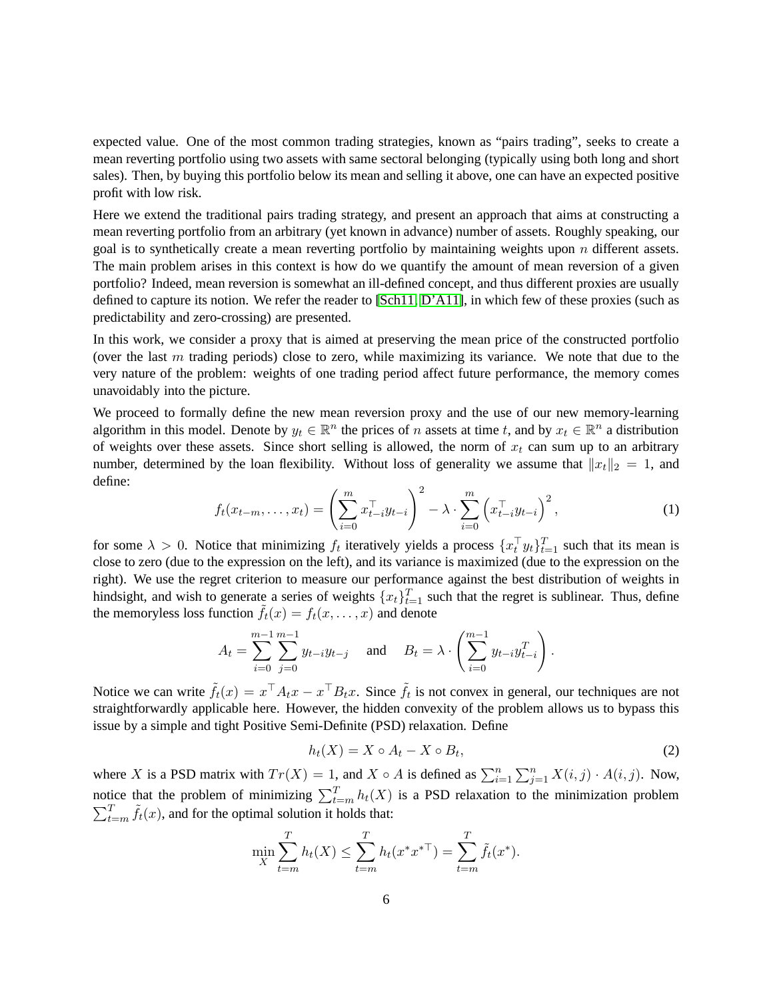expected value. One of the most common trading strategies, known as "pairs trading", seeks to create a mean reverting portfolio using two assets with same sectoral belonging (typically using both long and short sales). Then, by buying this portfolio below its mean and selling it above, one can have an expected positive profit with low risk.

Here we extend the traditional pairs trading strategy, and present an approach that aims at constructing a mean reverting portfolio from an arbitrary (yet known in advance) number of assets. Roughly speaking, our goal is to synthetically create a mean reverting portfolio by maintaining weights upon  $n$  different assets. The main problem arises in this context is how do we quantify the amount of mean reversion of a given portfolio? Indeed, mean reversion is somewhat an ill-defined concept, and thus different proxies are usually defined to capture its notion. We refer the reader to [\[Sch11,](#page-10-4) [D'A11\]](#page-9-5), in which few of these proxies (such as predictability and zero-crossing) are presented.

In this work, we consider a proxy that is aimed at preserving the mean price of the constructed portfolio (over the last  $m$  trading periods) close to zero, while maximizing its variance. We note that due to the very nature of the problem: weights of one trading period affect future performance, the memory comes unavoidably into the picture.

We proceed to formally define the new mean reversion proxy and the use of our new memory-learning algorithm in this model. Denote by  $y_t \in \mathbb{R}^n$  the prices of n assets at time t, and by  $x_t \in \mathbb{R}^n$  a distribution of weights over these assets. Since short selling is allowed, the norm of  $x_t$  can sum up to an arbitrary number, determined by the loan flexibility. Without loss of generality we assume that  $||x_t||_2 = 1$ , and define:

<span id="page-5-1"></span>
$$
f_t(x_{t-m},...,x_t) = \left(\sum_{i=0}^m x_{t-i}^\top y_{t-i}\right)^2 - \lambda \cdot \sum_{i=0}^m \left(x_{t-i}^\top y_{t-i}\right)^2,
$$
 (1)

for some  $\lambda > 0$ . Notice that minimizing  $f_t$  iteratively yields a process  $\{x_t^{\top} y_t\}_{t=1}^T$  such that its mean is close to zero (due to the expression on the left), and its variance is maximized (due to the expression on the right). We use the regret criterion to measure our performance against the best distribution of weights in hindsight, and wish to generate a series of weights  $\{x_t\}_{t=1}^T$  such that the regret is sublinear. Thus, define the memoryless loss function  $\tilde{f}_t(x) = f_t(x, \dots, x)$  and denote

$$
A_t = \sum_{i=0}^{m-1} \sum_{j=0}^{m-1} y_{t-i} y_{t-j} \quad \text{and} \quad B_t = \lambda \cdot \left( \sum_{i=0}^{m-1} y_{t-i} y_{t-i}^T \right).
$$

Notice we can write  $\tilde{f}_t(x) = x^\top A_t x - x^\top B_t x$ . Since  $\tilde{f}_t$  is not convex in general, our techniques are not straightforwardly applicable here. However, the hidden convexity of the problem allows us to bypass this issue by a simple and tight Positive Semi-Definite (PSD) relaxation. Define

<span id="page-5-0"></span>
$$
h_t(X) = X \circ A_t - X \circ B_t,\tag{2}
$$

where X is a PSD matrix with  $Tr(X) = 1$ , and  $X \circ A$  is defined as  $\sum_{i=1}^{n} \sum_{j=1}^{n} X(i, j) \cdot A(i, j)$ . Now, notice that the problem of minimizing  $\sum_{t=m}^{T} h_t(X)$  is a PSD relaxation to the minimization problem  $\sum_{t=m}^{T} \tilde{f}_t(x)$ , and for the optimal solution it holds that:

$$
\min_{X} \sum_{t=m}^{T} h_t(X) \le \sum_{t=m}^{T} h_t(x^* x^{*\top}) = \sum_{t=m}^{T} \tilde{f}_t(x^*).
$$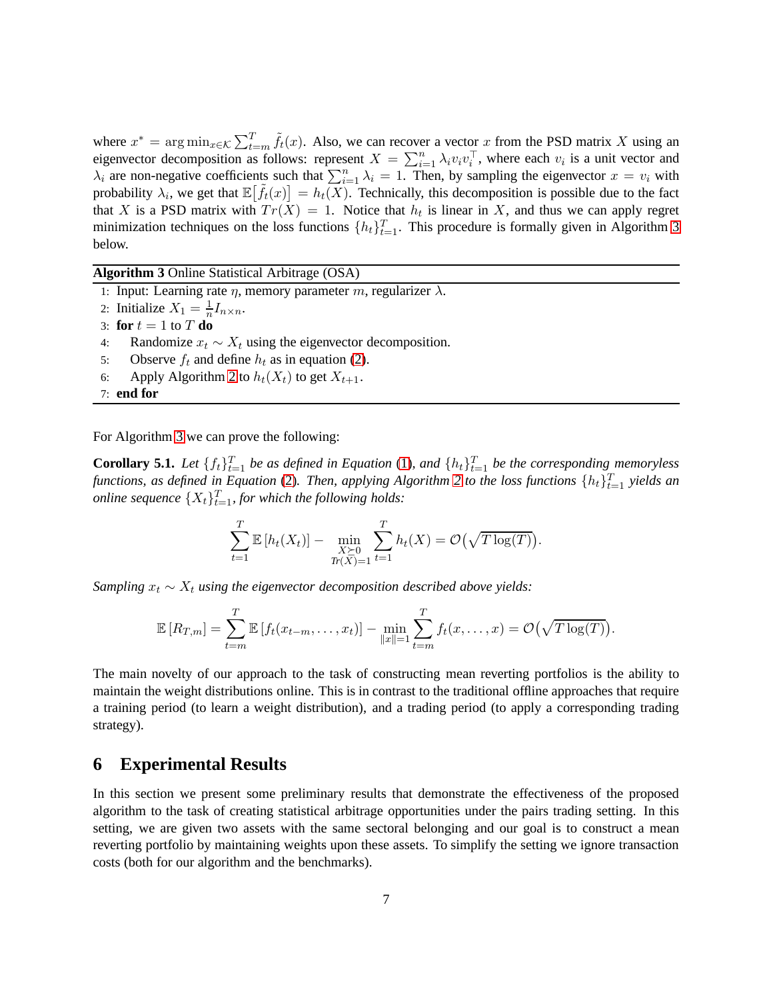where  $x^* = \arg \min_{x \in \mathcal{K}} \sum_{t=m}^T \tilde{f}_t(x)$ . Also, we can recover a vector x from the PSD matrix X using an eigenvector decomposition as follows: represent  $X = \sum_{i=1}^{n} \lambda_i v_i v_i^{\top}$ , where each  $v_i$  is a unit vector and  $\lambda_i$  are non-negative coefficients such that  $\sum_{i=1}^n \lambda_i = 1$ . Then, by sampling the eigenvector  $x = v_i$  with probability  $\lambda_i$ , we get that  $\mathbb{E}[\tilde{f}_t(x)] = h_t(\overline{X})$ . Technically, this decomposition is possible due to the fact that X is a PSD matrix with  $Tr(X) = 1$ . Notice that  $h_t$  is linear in X, and thus we can apply regret minimization techniques on the loss functions  $\{h_t\}_{t=1}^T$ . This procedure is formally given in Algorithm [3](#page-6-0) below.

<span id="page-6-0"></span>**Algorithm 3** Online Statistical Arbitrage (OSA)

1: Input: Learning rate  $\eta$ , memory parameter m, regularizer  $\lambda$ .

- 2: Initialize  $X_1 = \frac{1}{n}$  $\frac{1}{n}I_{n\times n}$ .
- 3: **for**  $t = 1$  to  $T$  **do**
- 4: Randomize  $x_t \sim X_t$  using the eigenvector decomposition.<br>5: Observe  $f_t$  and define  $h_t$  as in equation (2).
- Observe  $f_t$  and define  $h_t$  as in equation [\(2\)](#page-5-0).
- 6: Apply Algorithm [2](#page-4-0) to  $h_t(X_t)$  to get  $X_{t+1}$ .
- 7: **end for**

For Algorithm [3](#page-6-0) we can prove the following:

**Corollary 5.1.** Let  $\{f_t\}_{t=1}^T$  be as defined in Equation [\(1\)](#page-5-1), and  $\{h_t\}_{t=1}^T$  be the corresponding memoryless *functions, as defined in Equation* [\(2\)](#page-5-0). Then, applying Algorithm [2](#page-4-0) to the loss functions  $\{h_t\}_{t=1}^T$  yields an *online sequence*  $\{X_t\}_{t=1}^T$ , for which the following holds:

$$
\sum_{t=1}^T \mathbb{E}\left[h_t(X_t)\right] - \min_{\substack{X \succeq 0 \\ Tr(X) = 1}} \sum_{t=1}^T h_t(X) = \mathcal{O}\left(\sqrt{T \log(T)}\right).
$$

*Sampling*  $x_t \sim X_t$  *using the eigenvector decomposition described above yields:* 

$$
\mathbb{E}\left[R_{T,m}\right] = \sum_{t=m}^{T} \mathbb{E}\left[f_t(x_{t-m},\ldots,x_t)\right] - \min_{\|x\|=1} \sum_{t=m}^{T} f_t(x,\ldots,x) = \mathcal{O}\left(\sqrt{T \log(T)}\right).
$$

The main novelty of our approach to the task of constructing mean reverting portfolios is the ability to maintain the weight distributions online. This is in contrast to the traditional offline approaches that require a training period (to learn a weight distribution), and a trading period (to apply a corresponding trading strategy).

## **6 Experimental Results**

In this section we present some preliminary results that demonstrate the effectiveness of the proposed algorithm to the task of creating statistical arbitrage opportunities under the pairs trading setting. In this setting, we are given two assets with the same sectoral belonging and our goal is to construct a mean reverting portfolio by maintaining weights upon these assets. To simplify the setting we ignore transaction costs (both for our algorithm and the benchmarks).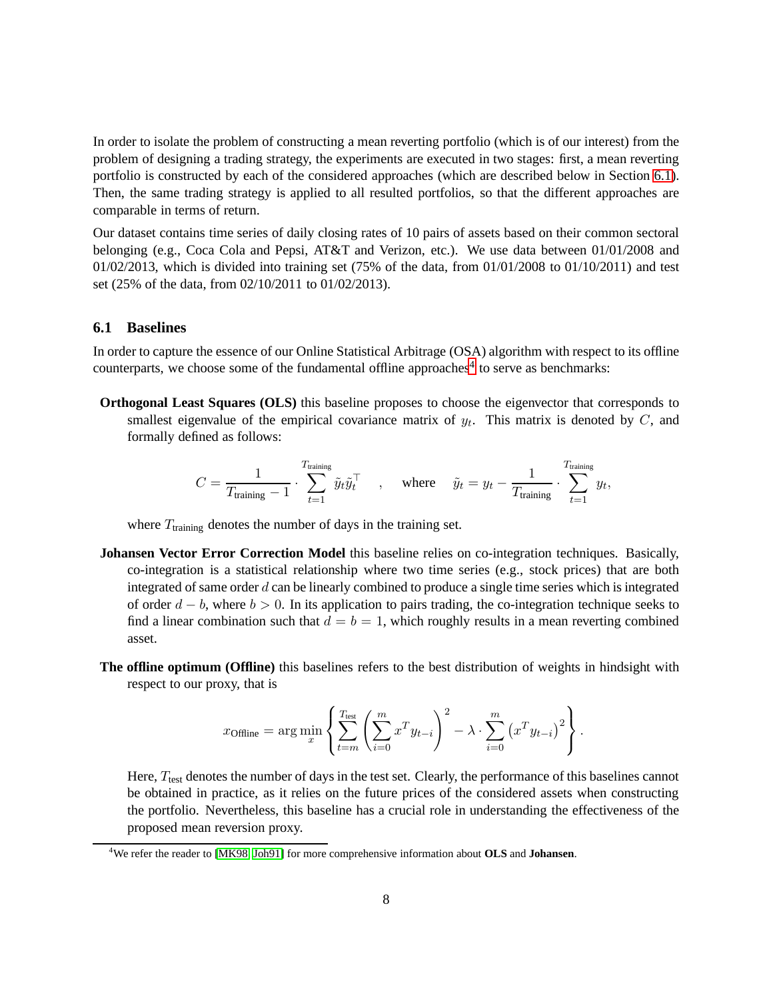In order to isolate the problem of constructing a mean reverting portfolio (which is of our interest) from the problem of designing a trading strategy, the experiments are executed in two stages: first, a mean reverting portfolio is constructed by each of the considered approaches (which are described below in Section [6.1\)](#page-7-0). Then, the same trading strategy is applied to all resulted portfolios, so that the different approaches are comparable in terms of return.

Our dataset contains time series of daily closing rates of 10 pairs of assets based on their common sectoral belonging (e.g., Coca Cola and Pepsi, AT&T and Verizon, etc.). We use data between 01/01/2008 and  $01/02/2013$ , which is divided into training set (75% of the data, from  $01/01/2008$  to  $01/10/2011$ ) and test set (25% of the data, from 02/10/2011 to 01/02/2013).

#### <span id="page-7-0"></span>**6.1 Baselines**

In order to capture the essence of our Online Statistical Arbitrage (OSA) algorithm with respect to its offline counterparts, we choose some of the fundamental offline approaches<sup>[4](#page-7-1)</sup> to serve as benchmarks:

**Orthogonal Least Squares (OLS)** this baseline proposes to choose the eigenvector that corresponds to smallest eigenvalue of the empirical covariance matrix of  $y_t$ . This matrix is denoted by C, and formally defined as follows:

$$
C = \frac{1}{T_{\text{training}} - 1} \cdot \sum_{t=1}^{T_{\text{training}}} \tilde{y}_t \tilde{y}_t^\top \quad, \quad \text{where} \quad \tilde{y}_t = y_t - \frac{1}{T_{\text{training}}} \cdot \sum_{t=1}^{T_{\text{training}}} y_t,
$$

where  $T_{\text{training}}$  denotes the number of days in the training set.

- **Johansen Vector Error Correction Model** this baseline relies on co-integration techniques. Basically, co-integration is a statistical relationship where two time series (e.g., stock prices) that are both integrated of same order d can be linearly combined to produce a single time series which is integrated of order  $d - b$ , where  $b > 0$ . In its application to pairs trading, the co-integration technique seeks to find a linear combination such that  $d = b = 1$ , which roughly results in a mean reverting combined asset.
- **The offline optimum (Offline)** this baselines refers to the best distribution of weights in hindsight with respect to our proxy, that is

$$
x_{\text{Offline}} = \arg\min_{x} \left\{ \sum_{t=m}^{T_{\text{test}}} \left( \sum_{i=0}^{m} x^{T} y_{t-i} \right)^{2} - \lambda \cdot \sum_{i=0}^{m} \left( x^{T} y_{t-i} \right)^{2} \right\}.
$$

Here,  $T_{\text{test}}$  denotes the number of days in the test set. Clearly, the performance of this baselines cannot be obtained in practice, as it relies on the future prices of the considered assets when constructing the portfolio. Nevertheless, this baseline has a crucial role in understanding the effectiveness of the proposed mean reversion proxy.

<span id="page-7-1"></span><sup>4</sup>We refer the reader to [\[MK98,](#page-10-5) [Joh91\]](#page-10-6) for more comprehensive information about **OLS** and **Johansen**.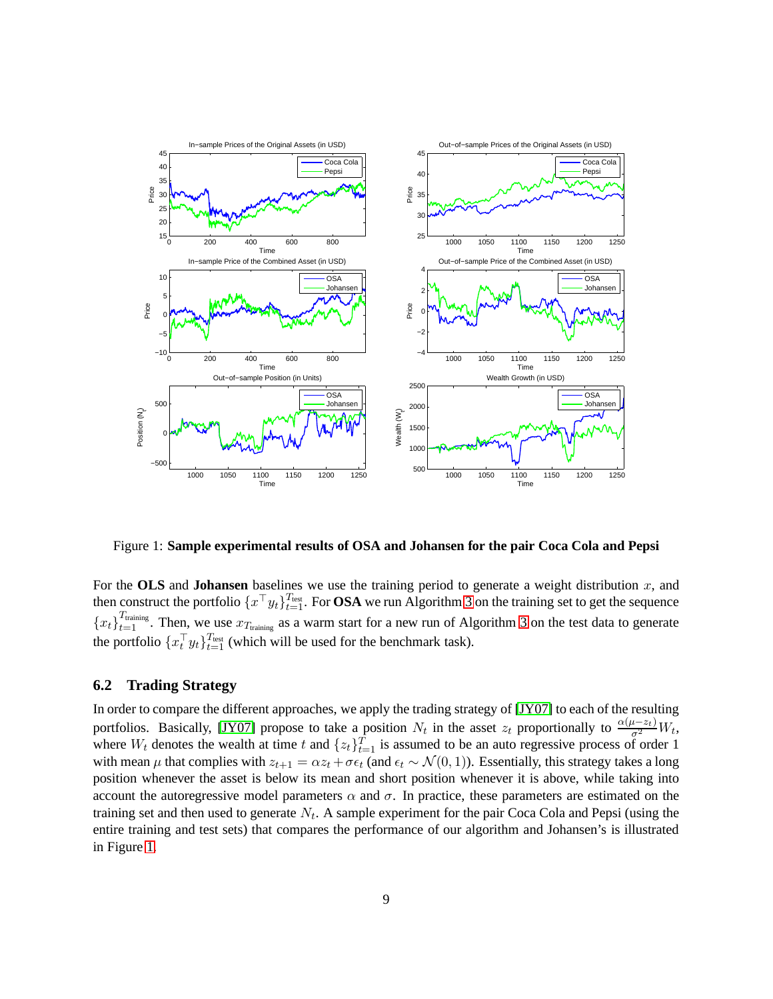

<span id="page-8-0"></span>Figure 1: **Sample experimental results of OSA and Johansen for the pair Coca Cola and Pepsi**

For the **OLS** and **Johansen** baselines we use the training period to generate a weight distribution  $x$ , and then construct the portfolio  $\{x^\top y_t\}_{t=1}^{T_{\text{test}}}$ . For **OSA** we run Algorithm [3](#page-6-0) on the training set to get the sequence  ${x_t}_{t=1}^{T_{\text{training}}}$ . Then, we use  $x_{T_{\text{training}}}$  as a warm start for a new run of Algorithm [3](#page-6-0) on the test data to generate the portfolio  $\{x_t^{\top} y_t\}_{t=1}^{T_{\text{test}}}$  (which will be used for the benchmark task).

#### **6.2 Trading Strategy**

In order to compare the different approaches, we apply the trading strategy of [\[JY07\]](#page-10-7) to each of the resulting portfolios. Basically, [\[JY07\]](#page-10-7) propose to take a position  $N_t$  in the asset  $z_t$  proportionally to  $\frac{\alpha(\mu-z_t)}{\sigma^2}W_t$ , where  $W_t$  denotes the wealth at time t and  $\{z_t\}_{t=1}^T$  is assumed to be an auto regressive process of order 1 with mean  $\mu$  that complies with  $z_{t+1} = \alpha z_t + \sigma \epsilon_t$  (and  $\epsilon_t \sim \mathcal{N}(0, 1)$ ). Essentially, this strategy takes a long position whenever the asset is below its mean and short position whenever it is above, while taking into account the autoregressive model parameters  $\alpha$  and  $\sigma$ . In practice, these parameters are estimated on the training set and then used to generate  $N_t$ . A sample experiment for the pair Coca Cola and Pepsi (using the entire training and test sets) that compares the performance of our algorithm and Johansen's is illustrated in Figure [1.](#page-8-0)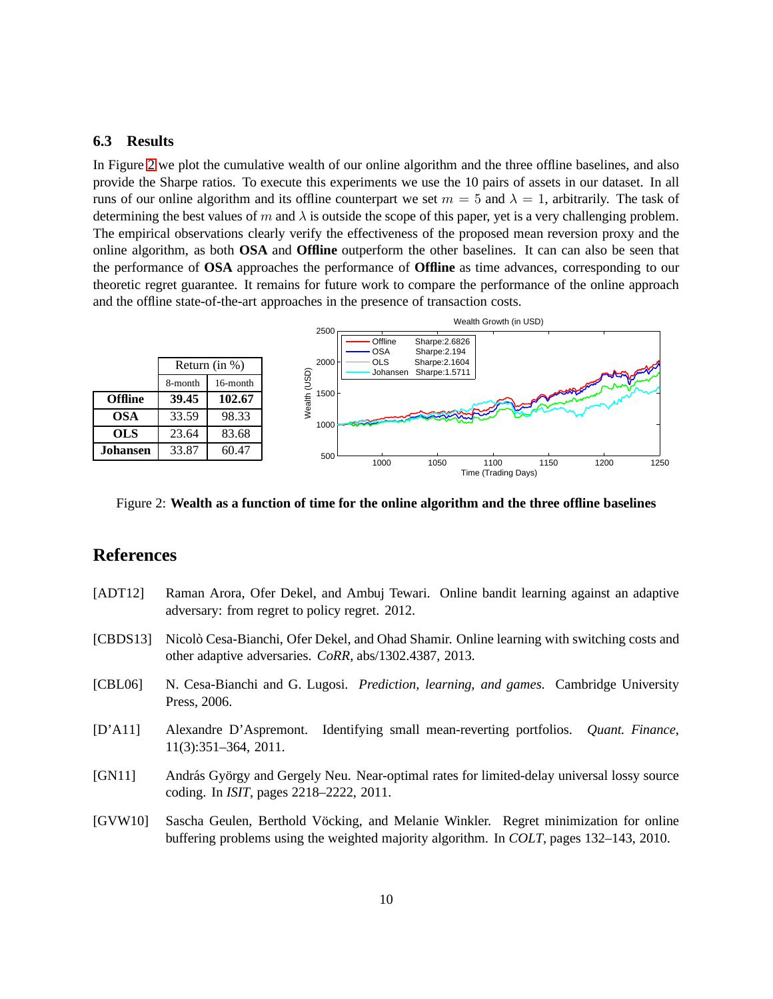#### **6.3 Results**

In Figure [2](#page-9-6) we plot the cumulative wealth of our online algorithm and the three offline baselines, and also provide the Sharpe ratios. To execute this experiments we use the 10 pairs of assets in our dataset. In all runs of our online algorithm and its offline counterpart we set  $m = 5$  and  $\lambda = 1$ , arbitrarily. The task of determining the best values of m and  $\lambda$  is outside the scope of this paper, yet is a very challenging problem. The empirical observations clearly verify the effectiveness of the proposed mean reversion proxy and the online algorithm, as both **OSA** and **Offline** outperform the other baselines. It can can also be seen that the performance of **OSA** approaches the performance of **Offline** as time advances, corresponding to our theoretic regret guarantee. It remains for future work to compare the performance of the online approach and the offline state-of-the-art approaches in the presence of transaction costs.



<span id="page-9-6"></span>Figure 2: **Wealth as a function of time for the online algorithm and the three offline baselines**

## **References**

- <span id="page-9-0"></span>[ADT12] Raman Arora, Ofer Dekel, and Ambuj Tewari. Online bandit learning against an adaptive adversary: from regret to policy regret. 2012.
- <span id="page-9-1"></span>[CBDS13] Nicolò Cesa-Bianchi, Ofer Dekel, and Ohad Shamir. Online learning with switching costs and other adaptive adversaries. *CoRR*, abs/1302.4387, 2013.
- <span id="page-9-4"></span>[CBL06] N. Cesa-Bianchi and G. Lugosi. *Prediction, learning, and games*. Cambridge University Press, 2006.
- <span id="page-9-5"></span>[D'A11] Alexandre D'Aspremont. Identifying small mean-reverting portfolios. *Quant. Finance*, 11(3):351–364, 2011.
- <span id="page-9-2"></span>[GN11] András György and Gergely Neu. Near-optimal rates for limited-delay universal lossy source coding. In *ISIT*, pages 2218–2222, 2011.
- <span id="page-9-3"></span>[GVW10] Sascha Geulen, Berthold Vöcking, and Melanie Winkler. Regret minimization for online buffering problems using the weighted majority algorithm. In *COLT*, pages 132–143, 2010.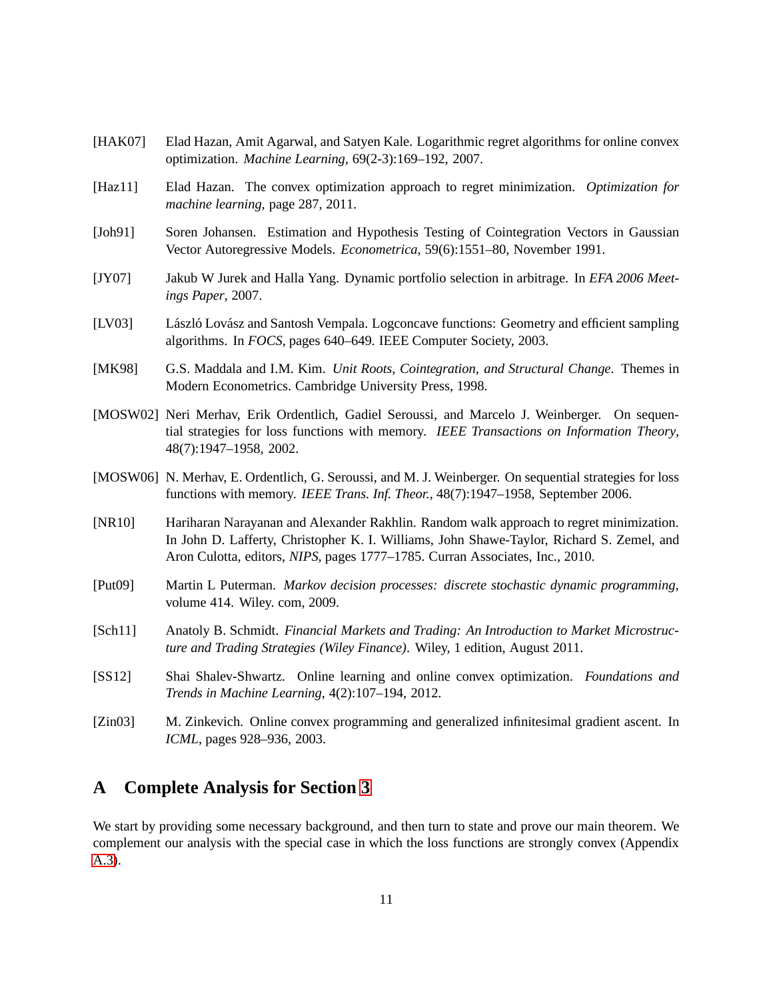- <span id="page-10-11"></span>[HAK07] Elad Hazan, Amit Agarwal, and Satyen Kale. Logarithmic regret algorithms for online convex optimization. *Machine Learning*, 69(2-3):169–192, 2007.
- <span id="page-10-8"></span>[Haz11] Elad Hazan. The convex optimization approach to regret minimization. *Optimization for machine learning*, page 287, 2011.
- <span id="page-10-6"></span>[Joh91] Soren Johansen. Estimation and Hypothesis Testing of Cointegration Vectors in Gaussian Vector Autoregressive Models. *Econometrica*, 59(6):1551–80, November 1991.
- <span id="page-10-7"></span>[JY07] Jakub W Jurek and Halla Yang. Dynamic portfolio selection in arbitrage. In *EFA 2006 Meetings Paper*, 2007.
- <span id="page-10-12"></span>[LV03] László Lovász and Santosh Vempala. Logconcave functions: Geometry and efficient sampling algorithms. In *FOCS*, pages 640–649. IEEE Computer Society, 2003.
- <span id="page-10-5"></span>[MK98] G.S. Maddala and I.M. Kim. *Unit Roots, Cointegration, and Structural Change*. Themes in Modern Econometrics. Cambridge University Press, 1998.
- <span id="page-10-1"></span>[MOSW02] Neri Merhav, Erik Ordentlich, Gadiel Seroussi, and Marcelo J. Weinberger. On sequential strategies for loss functions with memory. *IEEE Transactions on Information Theory*, 48(7):1947–1958, 2002.
- <span id="page-10-2"></span>[MOSW06] N. Merhav, E. Ordentlich, G. Seroussi, and M. J. Weinberger. On sequential strategies for loss functions with memory. *IEEE Trans. Inf. Theor.*, 48(7):1947–1958, September 2006.
- <span id="page-10-13"></span>[NR10] Hariharan Narayanan and Alexander Rakhlin. Random walk approach to regret minimization. In John D. Lafferty, Christopher K. I. Williams, John Shawe-Taylor, Richard S. Zemel, and Aron Culotta, editors, *NIPS*, pages 1777–1785. Curran Associates, Inc., 2010.
- <span id="page-10-0"></span>[Put09] Martin L Puterman. *Markov decision processes: discrete stochastic dynamic programming*, volume 414. Wiley. com, 2009.
- <span id="page-10-4"></span>[Sch11] Anatoly B. Schmidt. *Financial Markets and Trading: An Introduction to Market Microstructure and Trading Strategies (Wiley Finance)*. Wiley, 1 edition, August 2011.
- <span id="page-10-9"></span>[SS12] Shai Shalev-Shwartz. Online learning and online convex optimization. *Foundations and Trends in Machine Learning*, 4(2):107–194, 2012.
- <span id="page-10-10"></span>[Zin03] M. Zinkevich. Online convex programming and generalized infinitesimal gradient ascent. In *ICML*, pages 928–936, 2003.

## <span id="page-10-3"></span>**A Complete Analysis for Section [3](#page-3-1)**

We start by providing some necessary background, and then turn to state and prove our main theorem. We complement our analysis with the special case in which the loss functions are strongly convex (Appendix [A.3\)](#page-13-0).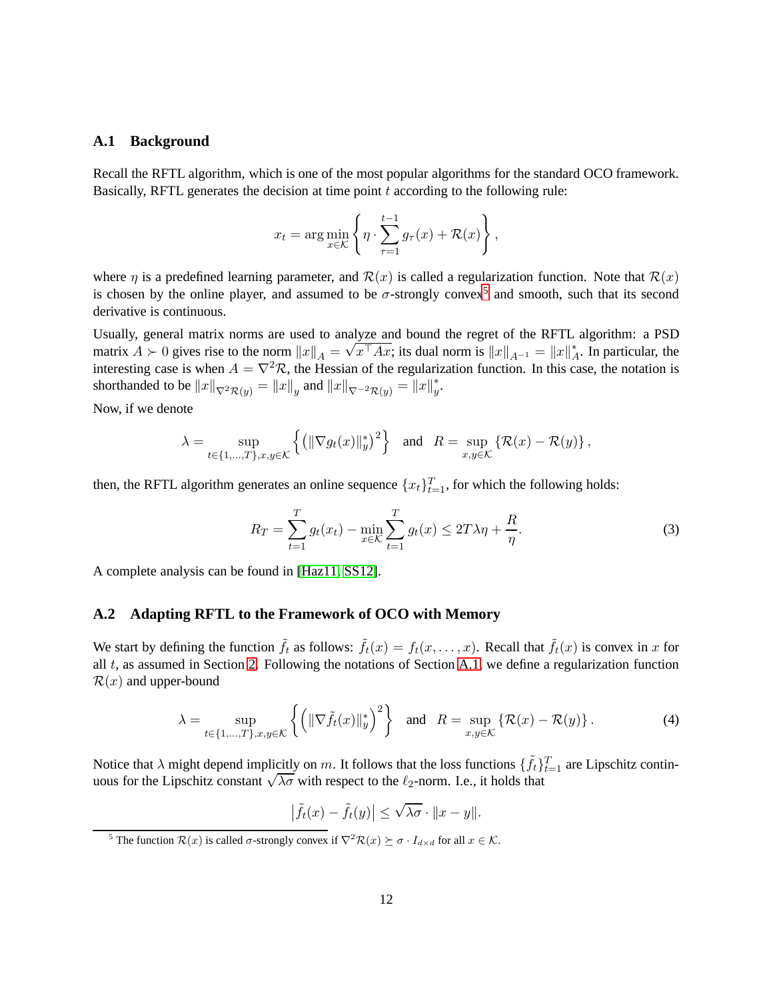#### <span id="page-11-2"></span>**A.1 Background**

Recall the RFTL algorithm, which is one of the most popular algorithms for the standard OCO framework. Basically, RFTL generates the decision at time point  $t$  according to the following rule:

$$
x_t = \arg\min_{x \in \mathcal{K}} \left\{ \eta \cdot \sum_{\tau=1}^{t-1} g_\tau(x) + \mathcal{R}(x) \right\},\,
$$

where  $\eta$  is a predefined learning parameter, and  $\mathcal{R}(x)$  is called a regularization function. Note that  $\mathcal{R}(x)$ is chosen by the online player, and assumed to be  $\sigma$ -strongly convex<sup>[5](#page-11-1)</sup> and smooth, such that its second derivative is continuous.

Usually, general matrix norms are used to analyze and bound the regret of the RFTL algorithm: a PSD matrix  $A \succ 0$  gives rise to the norm  $||x||_A = \sqrt{x^{\top}Ax}$ ; its dual norm is  $||x||_{A^{-1}} = ||x||_A^*$ . In particular, the interesting case is when  $A = \nabla^2 \mathcal{R}$ , the Hessian of the regularization function. In this case, the notation is shorthanded to be  $||x||_{\nabla^2 \mathcal{R}(y)} = ||x||_y$  and  $||x||_{\nabla^{-2} \mathcal{R}(y)} = ||x||_y^*$ .

Now, if we denote

$$
\lambda = \sup_{t \in \{1, \dots, T\}, x, y \in \mathcal{K}} \left\{ \left( \|\nabla g_t(x)\|_y^* \right)^2 \right\} \text{ and } R = \sup_{x, y \in \mathcal{K}} \left\{ \mathcal{R}(x) - \mathcal{R}(y) \right\},
$$

then, the RFTL algorithm generates an online sequence  $\{x_t\}_{t=1}^T$ , for which the following holds:

<span id="page-11-3"></span>
$$
R_T = \sum_{t=1}^T g_t(x_t) - \min_{x \in \mathcal{K}} \sum_{t=1}^T g_t(x) \le 2T\lambda \eta + \frac{R}{\eta}.
$$
 (3)

A complete analysis can be found in [\[Haz11,](#page-10-8) [SS12\]](#page-10-9).

#### **A.2 Adapting RFTL to the Framework of OCO with Memory**

We start by defining the function  $\tilde{f}_t$  as follows:  $\tilde{f}_t(x) = f_t(x, \dots, x)$ . Recall that  $\tilde{f}_t(x)$  is convex in x for all  $t$ , as assumed in Section [2.](#page-2-0) Following the notations of Section [A.1,](#page-11-2) we define a regularization function  $\mathcal{R}(x)$  and upper-bound

<span id="page-11-0"></span>
$$
\lambda = \sup_{t \in \{1, \ldots, T\}, x, y \in \mathcal{K}} \left\{ \left( \|\nabla \tilde{f}_t(x)\|_y^* \right)^2 \right\} \quad \text{and} \quad R = \sup_{x, y \in \mathcal{K}} \left\{ \mathcal{R}(x) - \mathcal{R}(y) \right\}. \tag{4}
$$

Notice that  $\lambda$  might depend implicitly on m. It follows that the loss functions  $\{\tilde{f}_t\}_{t=1}^T$  are Lipschitz continuous for the Lipschitz constant  $\sqrt{\lambda \sigma}$  with respect to the  $\ell_2$ -norm. I.e., it holds that

> $\left|\tilde{f}_t(x)-\tilde{f}_t(y)\right|\leq$  $\sqrt{\lambda \sigma} \cdot ||x - y||.$

<span id="page-11-1"></span><sup>&</sup>lt;sup>5</sup> The function  $\mathcal{R}(x)$  is called  $\sigma$ -strongly convex if  $\nabla^2 \mathcal{R}(x) \succeq \sigma \cdot I_{d \times d}$  for all  $x \in \mathcal{K}$ .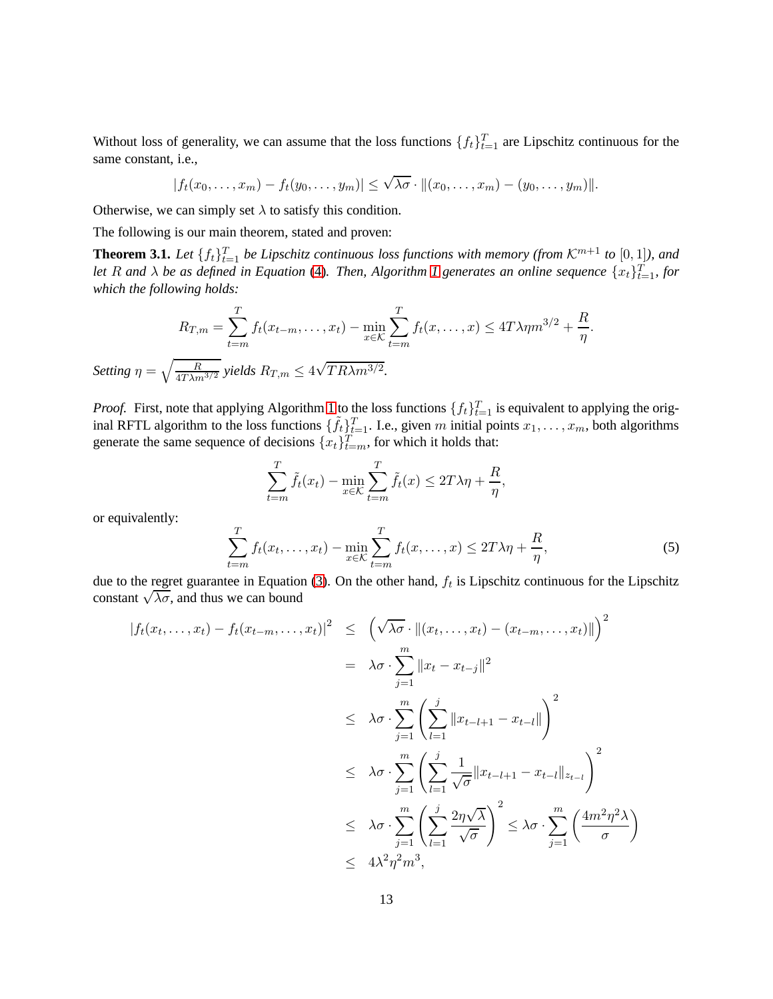Without loss of generality, we can assume that the loss functions  $\{f_t\}_{t=1}^T$  are Lipschitz continuous for the same constant, i.e.,

$$
|f_t(x_0,...,x_m) - f_t(y_0,...,y_m)| \leq \sqrt{\lambda \sigma} \cdot ||(x_0,...,x_m) - (y_0,...,y_m)||.
$$

Otherwise, we can simply set  $\lambda$  to satisfy this condition.

The following is our main theorem, stated and proven:

**Theorem 3.1.** Let  $\{f_t\}_{t=1}^T$  be Lipschitz continuous loss functions with memory (from  $K^{m+1}$  to  $[0,1]$ ), and *let* R and  $\lambda$  be as defined in Equation [\(4\)](#page-11-0). Then, Algorithm [1](#page-3-0) generates an online sequence  $\{x_t\}_{t=1}^T$ , for *which the following holds:*

$$
R_{T,m} = \sum_{t=m}^{T} f_t(x_{t-m}, \dots, x_t) - \min_{x \in \mathcal{K}} \sum_{t=m}^{T} f_t(x, \dots, x) \le 4T\lambda \eta m^{3/2} + \frac{R}{\eta}.
$$
  
Setting  $\eta = \sqrt{\frac{R}{4T\lambda m^{3/2}}}$  yields  $R_{T,m} \le 4\sqrt{T R\lambda m^{3/2}}$ .

*Proof.* First, note that applying Algorithm [1](#page-3-0) to the loss functions  $\{f_t\}_{t=1}^T$  is equivalent to applying the original RFTL algorithm to the loss functions  $\{\tilde{f}_t\}_{t=1}^T$ . I.e., given m initial points  $x_1, \ldots, x_m$ , both algorithms generate the same sequence of decisions  $\{x_t\}_{t=m}^T$ , for which it holds that:

$$
\sum_{t=m}^{T} \tilde{f}_t(x_t) - \min_{x \in \mathcal{K}} \sum_{t=m}^{T} \tilde{f}_t(x) \le 2T\lambda \eta + \frac{R}{\eta},
$$

or equivalently:

<span id="page-12-0"></span>
$$
\sum_{t=m}^{T} f_t(x_t, \dots, x_t) - \min_{x \in \mathcal{K}} \sum_{t=m}^{T} f_t(x, \dots, x) \le 2T\lambda \eta + \frac{R}{\eta},\tag{5}
$$

due to the regret guarantee in Equation [\(3\)](#page-11-3). On the other hand,  $f_t$  is Lipschitz continuous for the Lipschitz constant  $\sqrt{\lambda \sigma}$ , and thus we can bound

$$
|f_t(x_t, \dots, x_t) - f_t(x_{t-m}, \dots, x_t)|^2 \leq \left(\sqrt{\lambda \sigma} \cdot \|(x_t, \dots, x_t) - (x_{t-m}, \dots, x_t)\| \right)^2
$$
  
\n
$$
= \lambda \sigma \cdot \sum_{j=1}^m \|x_t - x_{t-j}\|^2
$$
  
\n
$$
\leq \lambda \sigma \cdot \sum_{j=1}^m \left( \sum_{l=1}^j \|x_{t-l+1} - x_{t-l}\| \right)^2
$$
  
\n
$$
\leq \lambda \sigma \cdot \sum_{j=1}^m \left( \sum_{l=1}^j \frac{1}{\sqrt{\sigma}} \|x_{t-l+1} - x_{t-l}\|_{z_{t-l}} \right)^2
$$
  
\n
$$
\leq \lambda \sigma \cdot \sum_{j=1}^m \left( \sum_{l=1}^j \frac{2\eta \sqrt{\lambda}}{\sqrt{\sigma}} \right)^2 \leq \lambda \sigma \cdot \sum_{j=1}^m \left( \frac{4m^2 \eta^2 \lambda}{\sigma} \right)
$$
  
\n
$$
\leq 4\lambda^2 \eta^2 m^3,
$$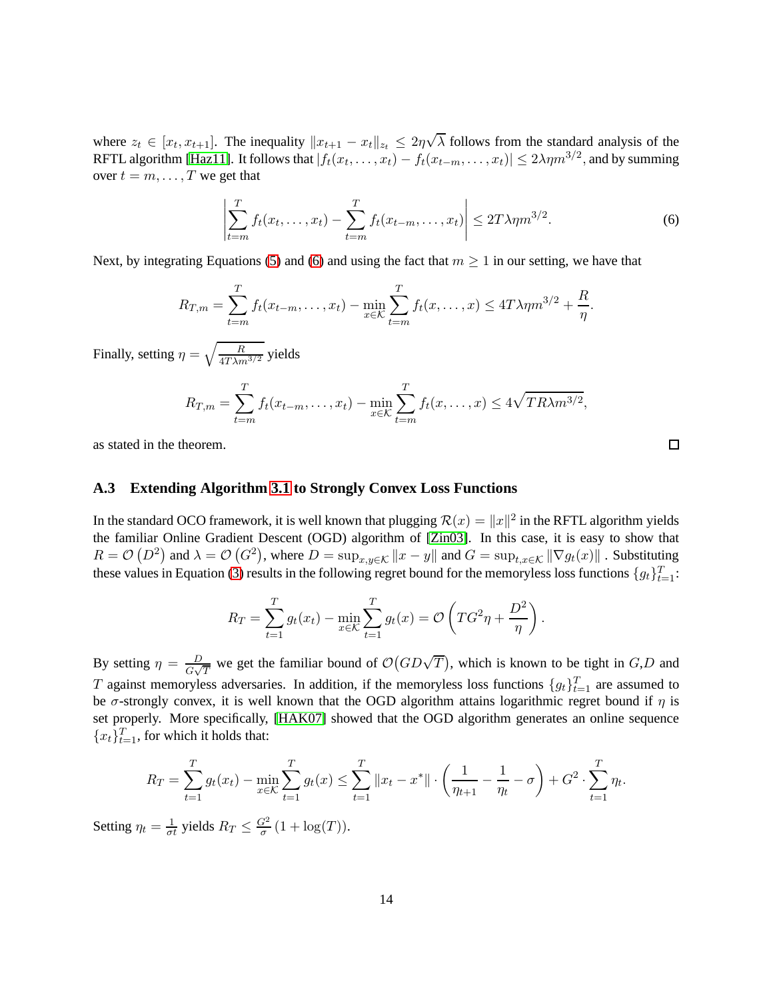where  $z_t \in [x_t, x_{t+1}]$ . The inequality  $||x_{t+1} - x_t||_{z_t} \leq 2\eta\sqrt{\lambda}$  follows from the standard analysis of the RFTL algorithm [\[Haz11\]](#page-10-8). It follows that  $|f_t(x_t, \dots, x_t) - f_t(x_{t-m}, \dots, x_t)| \leq 2\lambda \eta m^{3/2}$ , and by summing over  $t = m, \ldots, T$  we get that

<span id="page-13-1"></span>
$$
\left|\sum_{t=m}^{T} f_t(x_t, \dots, x_t) - \sum_{t=m}^{T} f_t(x_{t-m}, \dots, x_t)\right| \le 2T\lambda \eta m^{3/2}.
$$
 (6)

Next, by integrating Equations [\(5\)](#page-12-0) and [\(6\)](#page-13-1) and using the fact that  $m \geq 1$  in our setting, we have that

$$
R_{T,m} = \sum_{t=m}^{T} f_t(x_{t-m}, \dots, x_t) - \min_{x \in \mathcal{K}} \sum_{t=m}^{T} f_t(x, \dots, x) \le 4T\lambda \eta m^{3/2} + \frac{R}{\eta}.
$$
  
Finally, setting  $\eta = \sqrt{\frac{R}{4T\lambda m^{3/2}}}$  yields  

$$
R_{T,m} = \sum_{t=m}^{T} f_t(x_{t-m}, \dots, x_t) - \min_{x \in \mathcal{K}} \sum_{t=m}^{T} f_t(x, \dots, x) \le 4\sqrt{TR\lambda m^{3/2}},
$$

<span id="page-13-0"></span>as stated in the theorem.

#### **A.3 Extending Algorithm [3.1](#page-3-2) to Strongly Convex Loss Functions**

In the standard OCO framework, it is well known that plugging  $\mathcal{R}(x) = ||x||^2$  in the RFTL algorithm yields the familiar Online Gradient Descent (OGD) algorithm of [\[Zin03\]](#page-10-10). In this case, it is easy to show that  $R = \mathcal{O}(D^2)$  and  $\lambda = \mathcal{O}(G^2)$ , where  $D = \sup_{x,y \in \mathcal{K}} ||x - y||$  and  $G = \sup_{t,x \in \mathcal{K}} ||\nabla g_t(x)||$ . Substituting these values in Equation [\(3\)](#page-11-3) results in the following regret bound for the memoryless loss functions  $\{g_t\}_{t=1}^T$ :

$$
R_T = \sum_{t=1}^T g_t(x_t) - \min_{x \in \mathcal{K}} \sum_{t=1}^T g_t(x) = \mathcal{O}\left(TG^2\eta + \frac{D^2}{\eta}\right).
$$

By setting  $\eta = \frac{D}{C}$  $\frac{D}{G\sqrt{T}}$  we get the familiar bound of  $\mathcal{O}(GD\sqrt{T})$ , which is known to be tight in  $G,D$  and T against memoryless adversaries. In addition, if the memoryless loss functions  $\{g_t\}_{t=1}^T$  are assumed to be σ-strongly convex, it is well known that the OGD algorithm attains logarithmic regret bound if  $\eta$  is set properly. More specifically, [\[HAK07\]](#page-10-11) showed that the OGD algorithm generates an online sequence  ${x_t}_{t=1}^T$ , for which it holds that:

$$
R_T = \sum_{t=1}^T g_t(x_t) - \min_{x \in \mathcal{K}} \sum_{t=1}^T g_t(x) \le \sum_{t=1}^T \|x_t - x^*\| \cdot \left(\frac{1}{\eta_{t+1}} - \frac{1}{\eta_t} - \sigma\right) + G^2 \cdot \sum_{t=1}^T \eta_t.
$$

Setting  $\eta_t = \frac{1}{\sigma t}$  yields  $R_T \leq \frac{G^2}{\sigma}$  $rac{\dot{x}^2}{\sigma}(1+\log(T)).$   $\Box$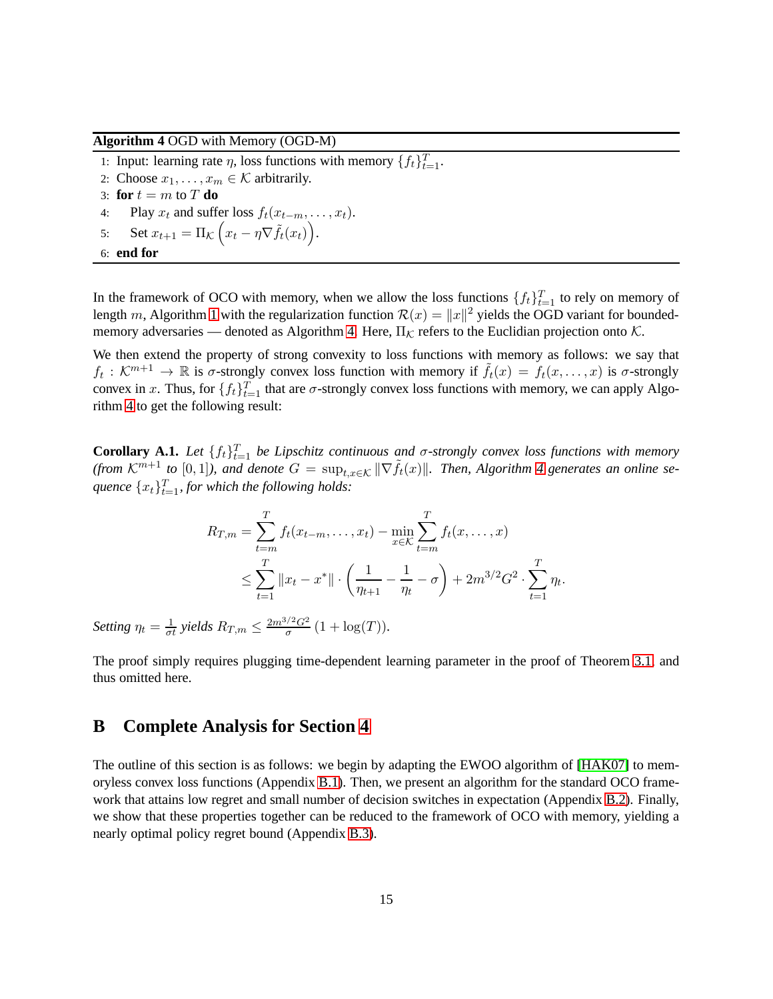#### <span id="page-14-1"></span>**Algorithm 4** OGD with Memory (OGD-M)

- 1: Input: learning rate  $\eta$ , loss functions with memory  $\{f_t\}_{t=1}^T$ .
- 2: Choose  $x_1, \ldots, x_m \in \mathcal{K}$  arbitrarily.
- 3: **for**  $t = m$  to  $T$  **do**
- 4: Play  $x_t$  and suffer loss  $f_t(x_{t-m}, \ldots, x_t)$ .
- 5: Set  $x_{t+1} = \Pi_{\mathcal{K}} \left( x_t \eta \nabla \tilde{f}_t(x_t) \right)$ .

```
6: end for
```
In the framework of OCO with memory, when we allow the loss functions  $\{f_t\}_{t=1}^T$  to rely on memory of length m, Algorithm [1](#page-3-0) with the regularization function  $\mathcal{R}(x) = ||x||^2$  yields the OGD variant for bounded-memory adversaries — denoted as Algorithm [4.](#page-14-1) Here,  $\Pi_{\mathcal{K}}$  refers to the Euclidian projection onto  $\mathcal{K}$ .

We then extend the property of strong convexity to loss functions with memory as follows: we say that  $f_t: \mathcal{K}^{m+1} \to \mathbb{R}$  is  $\sigma$ -strongly convex loss function with memory if  $\tilde{f}_t(x) = f_t(x, \dots, x)$  is  $\sigma$ -strongly convex in x. Thus, for  $\{f_t\}_{t=1}^T$  that are  $\sigma$ -strongly convex loss functions with memory, we can apply Algorithm [4](#page-14-1) to get the following result:

**Corollary A.1.** Let  $\{f_t\}_{t=1}^T$  be Lipschitz continuous and  $\sigma$ -strongly convex loss functions with memory *(from*  $K^{m+1}$  to [0,1]), and denote  $G = \sup_{t,x \in K} ||\nabla \tilde{f}_t(x)||$ . Then, Algorithm [4](#page-14-1) generates an online sequence  $\{x_t\}_{t=1}^T$ , for which the following holds:

$$
R_{T,m} = \sum_{t=m}^{T} f_t(x_{t-m}, \dots, x_t) - \min_{x \in \mathcal{K}} \sum_{t=m}^{T} f_t(x, \dots, x)
$$
  
 
$$
\leq \sum_{t=1}^{T} ||x_t - x^*|| \cdot \left(\frac{1}{\eta_{t+1}} - \frac{1}{\eta_t} - \sigma\right) + 2m^{3/2}G^2 \cdot \sum_{t=1}^{T} \eta_t.
$$

*Setting*  $\eta_t = \frac{1}{\sigma t}$  *yields*  $R_{T,m} \leq \frac{2m^{3/2}G^2}{\sigma^2}$  $\frac{\sigma}{\sigma}(1 + \log(T)).$ 

The proof simply requires plugging time-dependent learning parameter in the proof of Theorem [3.1,](#page-3-2) and thus omitted here.

## <span id="page-14-0"></span>**B Complete Analysis for Section [4](#page-3-3)**

The outline of this section is as follows: we begin by adapting the EWOO algorithm of [\[HAK07\]](#page-10-11) to memoryless convex loss functions (Appendix [B.1\)](#page-15-0). Then, we present an algorithm for the standard OCO frame-work that attains low regret and small number of decision switches in expectation (Appendix [B.2\)](#page-18-0). Finally, we show that these properties together can be reduced to the framework of OCO with memory, yielding a nearly optimal policy regret bound (Appendix [B.3\)](#page-20-1).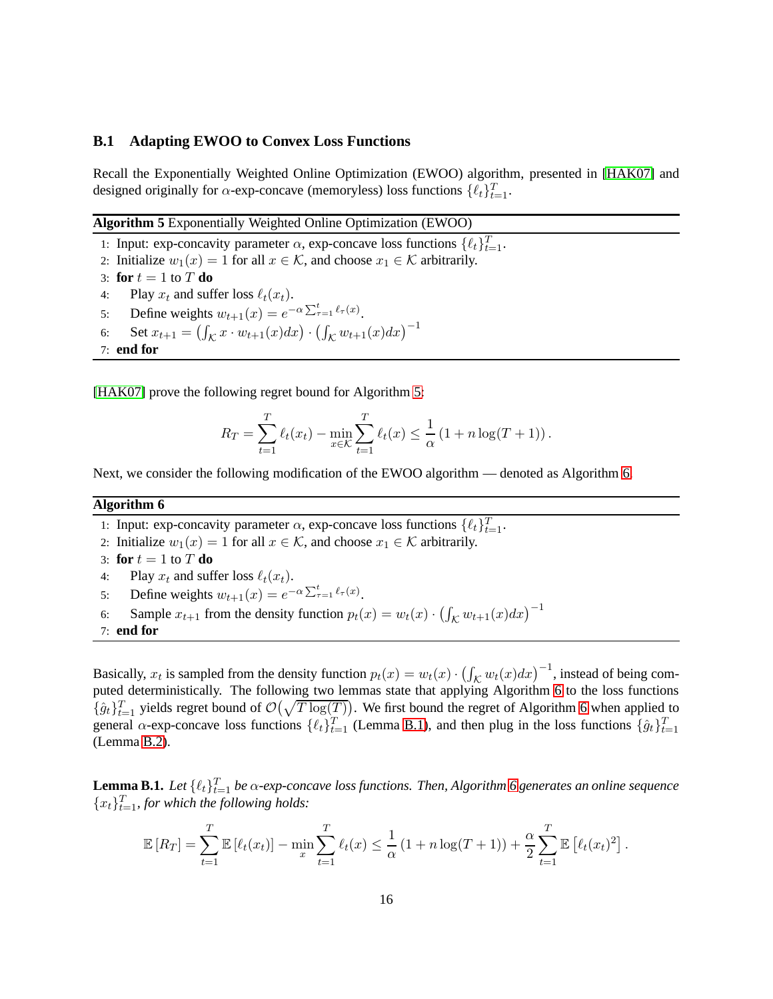#### <span id="page-15-0"></span>**B.1 Adapting EWOO to Convex Loss Functions**

Recall the Exponentially Weighted Online Optimization (EWOO) algorithm, presented in [\[HAK07\]](#page-10-11) and designed originally for  $\alpha$ -exp-concave (memoryless) loss functions  $\{\ell_t\}_{t=1}^T$ .

<span id="page-15-1"></span>**Algorithm 5** Exponentially Weighted Online Optimization (EWOO)

- 1: Input: exp-concavity parameter  $\alpha$ , exp-concave loss functions  $\{\ell_t\}_{t=1}^T$ .
- 2: Initialize  $w_1(x) = 1$  for all  $x \in \mathcal{K}$ , and choose  $x_1 \in \mathcal{K}$  arbitrarily.
- 3: **for**  $t = 1$  to  $T$  **do**
- 4: Play  $x_t$  and suffer loss  $\ell_t(x_t)$ .
- 5: Define weights  $w_{t+1}(x) = e^{-\alpha \sum_{\tau=1}^{t} \ell_{\tau}(x)}$ .
- 6: Set  $x_{t+1} = (\int_{\mathcal{K}} x \cdot w_{t+1}(x) dx) \cdot (\int_{\mathcal{K}} w_{t+1}(x) dx)^{-1}$
- 7: **end for**

[\[HAK07\]](#page-10-11) prove the following regret bound for Algorithm [5:](#page-15-1)

$$
R_T = \sum_{t=1}^T \ell_t(x_t) - \min_{x \in \mathcal{K}} \sum_{t=1}^T \ell_t(x) \le \frac{1}{\alpha} (1 + n \log(T + 1)).
$$

Next, we consider the following modification of the EWOO algorithm — denoted as Algorithm [6.](#page-15-2)

#### <span id="page-15-2"></span>**Algorithm 6**

- 1: Input: exp-concavity parameter  $\alpha$ , exp-concave loss functions  $\{\ell_t\}_{t=1}^T$ .
- 2: Initialize  $w_1(x) = 1$  for all  $x \in \mathcal{K}$ , and choose  $x_1 \in \mathcal{K}$  arbitrarily.
- 3: **for**  $t = 1$  to  $T$  **do**
- 4: Play  $x_t$  and suffer loss  $\ell_t(x_t)$ .
- 5: Define weights  $w_{t+1}(x) = e^{-\alpha \sum_{\tau=1}^{t} \ell_{\tau}(x)}$ .
- 6: Sample  $x_{t+1}$  from the density function  $p_t(x) = w_t(x) \cdot (\int_{\mathcal{K}} w_{t+1}(x) dx)^{-1}$
- 7: **end for**

Basically,  $x_t$  is sampled from the density function  $p_t(x) = w_t(x) \cdot (\int_{\mathcal{K}} w_t(x) dx)^{-1}$ , instead of being computed deterministically. The following two lemmas state that applying Algorithm [6](#page-15-2) to the loss functions  $\{\hat{g}_t\}_{t=1}^T$  yields regret bound of  $\mathcal{O}(\sqrt{T \log(T)})$ . We first bound the regret of Algorithm [6](#page-15-2) when applied to general  $\alpha$ -exp-concave loss functions  $\{\ell_t\}_{t=1}^T$  (Lemma [B.1\)](#page-15-3), and then plug in the loss functions  $\{\hat{g}_t\}_{t=1}^T$ (Lemma [B.2\)](#page-17-0).

<span id="page-15-3"></span>**Lemma B.1.** Let  $\{\ell_t\}_{t=1}^T$  be  $\alpha$ -exp-concave loss functions. Then, Algorithm [6](#page-15-2) generates an online sequence  ${x_t}_{t=1}^T$ , for which the following holds:

$$
\mathbb{E}\left[R_T\right] = \sum_{t=1}^T \mathbb{E}\left[\ell_t(x_t)\right] - \min_x \sum_{t=1}^T \ell_t(x) \leq \frac{1}{\alpha}\left(1 + n\log(T+1)\right) + \frac{\alpha}{2}\sum_{t=1}^T \mathbb{E}\left[\ell_t(x_t)^2\right].
$$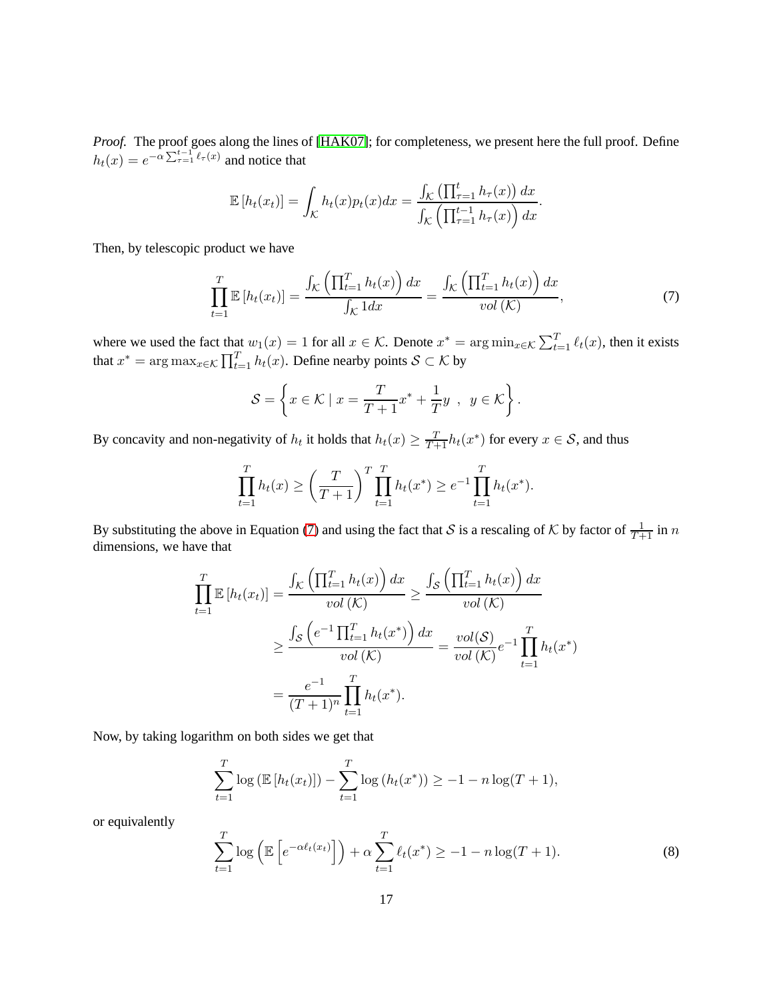*Proof.* The proof goes along the lines of [\[HAK07\]](#page-10-11); for completeness, we present here the full proof. Define  $h_t(x) = e^{-\alpha \sum_{\tau=1}^{t-1} \ell_{\tau}(x)}$  and notice that

$$
\mathbb{E}\left[h_t(x_t)\right] = \int_{\mathcal{K}} h_t(x)p_t(x)dx = \frac{\int_{\mathcal{K}} \left(\prod_{\tau=1}^t h_\tau(x)\right) dx}{\int_{\mathcal{K}} \left(\prod_{\tau=1}^{t-1} h_\tau(x)\right) dx}
$$

Then, by telescopic product we have

<span id="page-16-0"></span>
$$
\prod_{t=1}^{T} \mathbb{E}\left[h_t(x_t)\right] = \frac{\int_{\mathcal{K}} \left(\prod_{t=1}^{T} h_t(x)\right) dx}{\int_{\mathcal{K}} 1 dx} = \frac{\int_{\mathcal{K}} \left(\prod_{t=1}^{T} h_t(x)\right) dx}{\operatorname{vol}\left(\mathcal{K}\right)},\tag{7}
$$

.

where we used the fact that  $w_1(x) = 1$  for all  $x \in \mathcal{K}$ . Denote  $x^* = \arg \min_{x \in \mathcal{K}} \sum_{t=1}^T \ell_t(x)$ , then it exists that  $x^* = \arg \max_{x \in \mathcal{K}} \prod_{t=1}^T h_t(x)$ . Define nearby points  $\mathcal{S} \subset \mathcal{K}$  by

$$
\mathcal{S} = \left\{ x \in \mathcal{K} \mid x = \frac{T}{T+1} x^* + \frac{1}{T} y \ , \ y \in \mathcal{K} \right\}.
$$

By concavity and non-negativity of  $h_t$  it holds that  $h_t(x) \ge \frac{T}{T+1}h_t(x^*)$  for every  $x \in S$ , and thus

$$
\prod_{t=1}^{T} h_t(x) \ge \left(\frac{T}{T+1}\right)^{T} \prod_{t=1}^{T} h_t(x^*) \ge e^{-1} \prod_{t=1}^{T} h_t(x^*).
$$

By substituting the above in Equation [\(7\)](#page-16-0) and using the fact that S is a rescaling of K by factor of  $\frac{1}{T+1}$  in n dimensions, we have that

$$
\prod_{t=1}^{T} \mathbb{E} \left[ h_t(x_t) \right] = \frac{\int_{\mathcal{K}} \left( \prod_{t=1}^{T} h_t(x) \right) dx}{vol(K)} \ge \frac{\int_{\mathcal{S}} \left( \prod_{t=1}^{T} h_t(x) \right) dx}{vol(K)} \n\ge \frac{\int_{\mathcal{S}} \left( e^{-1} \prod_{t=1}^{T} h_t(x^*) \right) dx}{vol(K)} = \frac{vol(\mathcal{S})}{vol(K)} e^{-1} \prod_{t=1}^{T} h_t(x^*) \n= \frac{e^{-1}}{(T+1)^n} \prod_{t=1}^{T} h_t(x^*).
$$

Now, by taking logarithm on both sides we get that

$$
\sum_{t=1}^{T} \log (\mathbb{E}[h_t(x_t)]) - \sum_{t=1}^{T} \log (h_t(x^*)) \ge -1 - n \log(T+1),
$$

or equivalently

<span id="page-16-1"></span>
$$
\sum_{t=1}^{T} \log \left( \mathbb{E} \left[ e^{-\alpha \ell_t(x_t)} \right] \right) + \alpha \sum_{t=1}^{T} \ell_t(x^*) \ge -1 - n \log(T+1). \tag{8}
$$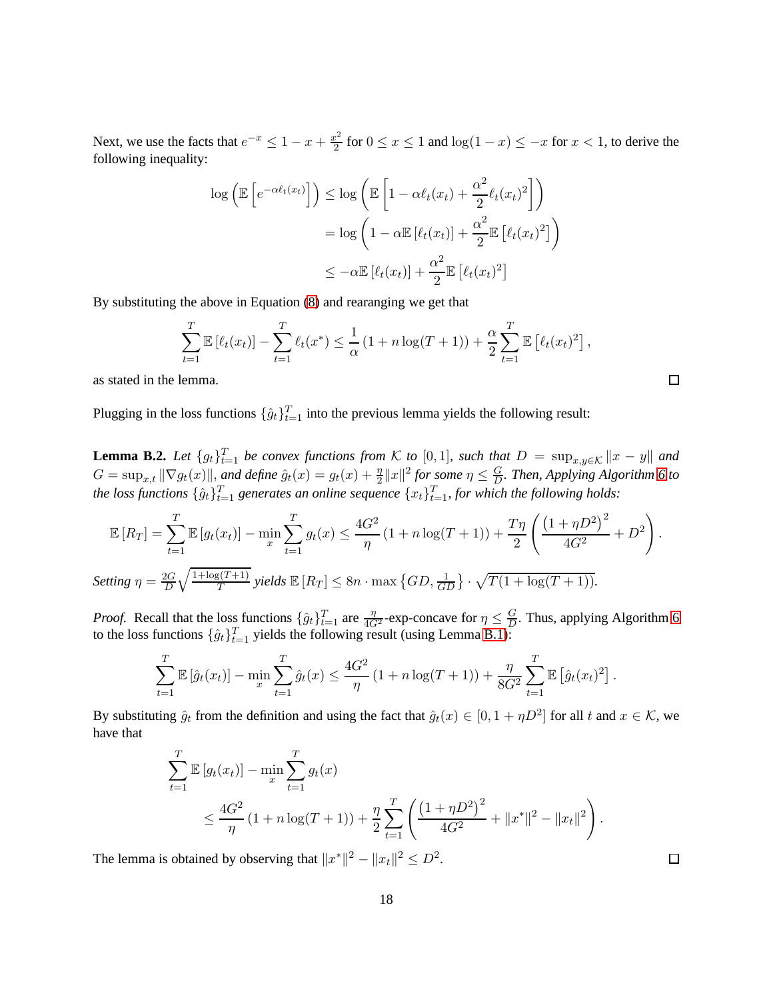Next, we use the facts that  $e^{-x} \leq 1 - x + \frac{x^2}{2}$  $\frac{e^2}{2}$  for  $0 \le x \le 1$  and  $\log(1-x) \le -x$  for  $x < 1$ , to derive the following inequality:

$$
\log \left( \mathbb{E} \left[ e^{-\alpha \ell_t(x_t)} \right] \right) \leq \log \left( \mathbb{E} \left[ 1 - \alpha \ell_t(x_t) + \frac{\alpha^2}{2} \ell_t(x_t)^2 \right] \right)
$$
  
=  $\log \left( 1 - \alpha \mathbb{E} \left[ \ell_t(x_t) \right] + \frac{\alpha^2}{2} \mathbb{E} \left[ \ell_t(x_t)^2 \right] \right)$   
 $\leq -\alpha \mathbb{E} \left[ \ell_t(x_t) \right] + \frac{\alpha^2}{2} \mathbb{E} \left[ \ell_t(x_t)^2 \right]$ 

By substituting the above in Equation [\(8\)](#page-16-1) and rearanging we get that

$$
\sum_{t=1}^{T} \mathbb{E} \left[ \ell_t(x_t) \right] - \sum_{t=1}^{T} \ell_t(x^*) \leq \frac{1}{\alpha} \left( 1 + n \log(T+1) \right) + \frac{\alpha}{2} \sum_{t=1}^{T} \mathbb{E} \left[ \ell_t(x_t)^2 \right],
$$

as stated in the lemma.

Plugging in the loss functions  $\{\hat{g}_t\}_{t=1}^T$  into the previous lemma yields the following result:

<span id="page-17-0"></span>**Lemma B.2.** *Let*  $\{g_t\}_{t=1}^T$  *be convex functions from* K *to* [0, 1]*, such that*  $D = \sup_{x,y \in K} ||x - y||$  *and*  $G = \sup_{x,t} ||\nabla g_t(x)||$ , and define  $\hat{g}_t(x) = g_t(x) + \frac{\eta}{2} ||x||^2$  for some  $\eta \leq \frac{G}{D}$ . Then, Applying Algorithm [6](#page-15-2) to the loss functions  $\{\hat{g}_t\}_{t=1}^T$  generates an online sequence  $\{x_t\}_{t=1}^T$ , for which the following holds:

$$
\mathbb{E}\left[R_T\right] = \sum_{t=1}^T \mathbb{E}\left[g_t(x_t)\right] - \min_x \sum_{t=1}^T g_t(x) \le \frac{4G^2}{\eta} \left(1 + n\log(T+1)\right) + \frac{T\eta}{2} \left(\frac{\left(1 + \eta D^2\right)^2}{4G^2} + D^2\right).
$$
  
Setting  $\eta = \frac{2G}{D} \sqrt{\frac{1 + \log(T+1)}{T}}$  yields  $\mathbb{E}\left[R_T\right] \le 8n \cdot \max\left\{GD, \frac{1}{GD}\right\} \cdot \sqrt{T(1 + \log(T+1))}$ .

*Proof.* Recall that the loss functions  $\{\hat{g}_t\}_{t=1}^T$  are  $\frac{\eta}{4G^2}$ -exp-concave for  $\eta \leq \frac{G}{D}$  $\frac{G}{D}$ . Thus, applying Algorithm [6](#page-15-2) to the loss functions  $\{\hat{g}_t\}_{t=1}^T$  yields the following result (using Lemma [B.1\)](#page-15-3):

$$
\sum_{t=1}^{T} \mathbb{E} \left[ \hat{g}_t(x_t) \right] - \min_{x} \sum_{t=1}^{T} \hat{g}_t(x) \le \frac{4G^2}{\eta} \left( 1 + n \log(T+1) \right) + \frac{\eta}{8G^2} \sum_{t=1}^{T} \mathbb{E} \left[ \hat{g}_t(x_t)^2 \right].
$$

By substituting  $\hat{g}_t$  from the definition and using the fact that  $\hat{g}_t(x) \in [0, 1 + \eta D^2]$  for all  $t$  and  $x \in \mathcal{K}$ , we have that

$$
\sum_{t=1}^{T} \mathbb{E} \left[ g_t(x_t) \right] - \min_{x} \sum_{t=1}^{T} g_t(x)
$$
\n
$$
\leq \frac{4G^2}{\eta} \left( 1 + n \log(T+1) \right) + \frac{\eta}{2} \sum_{t=1}^{T} \left( \frac{\left( 1 + \eta D^2 \right)^2}{4G^2} + \|x^*\|^2 - \|x_t\|^2 \right).
$$

The lemma is obtained by observing that  $||x^*||^2 - ||x_t||^2 \le D^2$ .

 $\Box$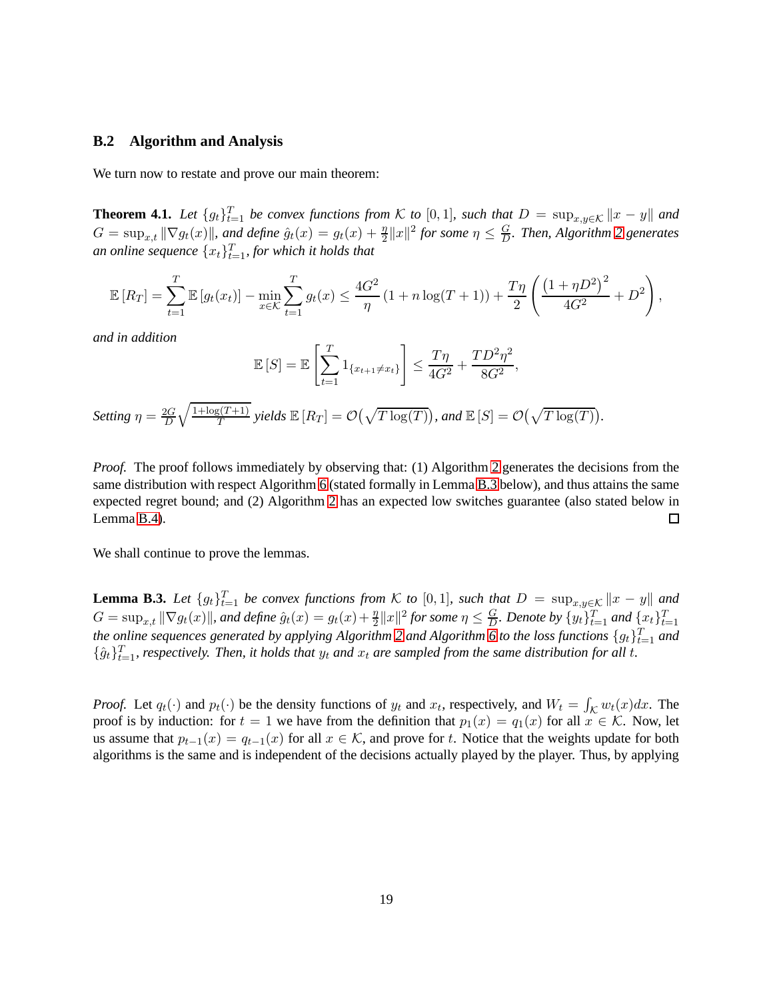#### <span id="page-18-0"></span>**B.2 Algorithm and Analysis**

We turn now to restate and prove our main theorem:

**Theorem 4.1.** *Let*  $\{g_t\}_{t=1}^T$  *be convex functions from* K *to* [0, 1]*, such that*  $D = \sup_{x,y \in K} ||x - y||$  *and*  $G = \sup_{x,t} ||\nabla g_t(x)||$ , and define  $\hat{g}_t(x) = g_t(x) + \frac{\eta}{2} ||x||^2$  for some  $\eta \leq \frac{G}{D}$ D *. Then, Algorithm [2](#page-4-0) generates* an online sequence  $\{x_t\}_{t=1}^T$ , for which it holds that

$$
\mathbb{E}[R_T] = \sum_{t=1}^T \mathbb{E}[g_t(x_t)] - \min_{x \in \mathcal{K}} \sum_{t=1}^T g_t(x) \le \frac{4G^2}{\eta} (1 + n \log(T+1)) + \frac{T\eta}{2} \left( \frac{(1 + \eta D^2)^2}{4G^2} + D^2 \right),
$$

*and in addition*

$$
\mathbb{E}[S] = \mathbb{E}\left[\sum_{t=1}^{T} 1_{\{x_{t+1} \neq x_t\}}\right] \le \frac{T\eta}{4G^2} + \frac{T D^2 \eta^2}{8G^2},
$$

*Setting*  $\eta = \frac{2G}{D}$ D  $\sqrt{1+\log(T+1)}$  $\frac{g(T+1)}{T}$  yields  $\mathbb{E}[R_T] = \mathcal{O}(\sqrt{T \log(T)})$ , and  $\mathbb{E}[S] = \mathcal{O}(\sqrt{T \log(T)})$ .

*Proof.* The proof follows immediately by observing that: (1) Algorithm [2](#page-4-0) generates the decisions from the same distribution with respect Algorithm [6](#page-15-2) (stated formally in Lemma [B.3](#page-18-1) below), and thus attains the same expected regret bound; and (2) Algorithm [2](#page-4-0) has an expected low switches guarantee (also stated below in Lemma [B.4\)](#page-19-0).  $\Box$ 

We shall continue to prove the lemmas.

<span id="page-18-1"></span>**Lemma B.3.** Let  $\{g_t\}_{t=1}^T$  be convex functions from K to [0, 1], such that  $D = \sup_{x,y \in K} ||x - y||$  and  $G = \sup_{x,t} \|\nabla g_t(x)\|$ , and define  $\hat{g}_t(x) = g_t(x) + \frac{\eta}{2} \|x\|^2$  for some  $\eta \leq \frac{G}{D}$  $\frac{G}{D}$ *. Denote by*  $\{y_t\}_{t=1}^T$  and  $\{x_t\}_{t=1}^T$ *the online sequences generated by applying Algorithm* [2](#page-4-0) and Algorithm [6](#page-15-2) to the loss functions  $\{g_t\}_{t=1}^T$  and  $\{\hat{g}_t\}_{t=1}^T$ , respectively. Then, it holds that  $y_t$  and  $x_t$  are sampled from the same distribution for all t.

*Proof.* Let  $q_t(\cdot)$  and  $p_t(\cdot)$  be the density functions of  $y_t$  and  $x_t$ , respectively, and  $W_t = \int_{\mathcal{K}} w_t(x) dx$ . The proof is by induction: for  $t = 1$  we have from the definition that  $p_1(x) = q_1(x)$  for all  $x \in \mathcal{K}$ . Now, let us assume that  $p_{t-1}(x) = q_{t-1}(x)$  for all  $x \in \mathcal{K}$ , and prove for t. Notice that the weights update for both algorithms is the same and is independent of the decisions actually played by the player. Thus, by applying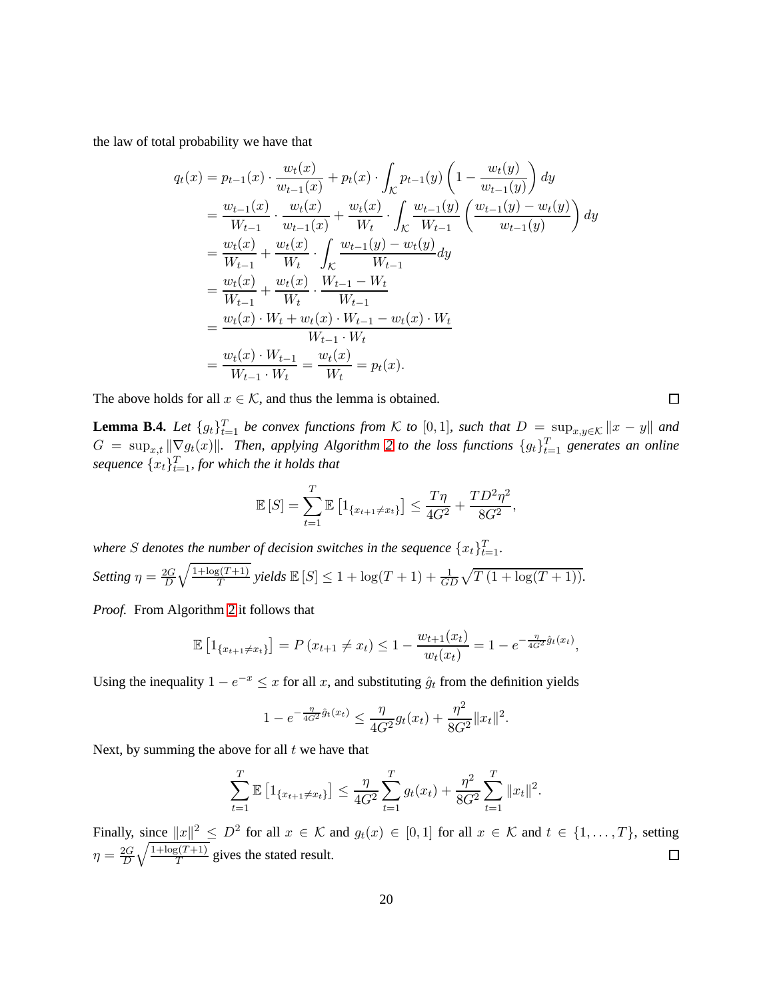the law of total probability we have that

$$
q_t(x) = p_{t-1}(x) \cdot \frac{w_t(x)}{w_{t-1}(x)} + p_t(x) \cdot \int_{\mathcal{K}} p_{t-1}(y) \left(1 - \frac{w_t(y)}{w_{t-1}(y)}\right) dy
$$
  
\n
$$
= \frac{w_{t-1}(x)}{W_{t-1}} \cdot \frac{w_t(x)}{w_{t-1}(x)} + \frac{w_t(x)}{W_t} \cdot \int_{\mathcal{K}} \frac{w_{t-1}(y)}{W_{t-1}} \left(\frac{w_{t-1}(y) - w_t(y)}{w_{t-1}(y)}\right) dy
$$
  
\n
$$
= \frac{w_t(x)}{W_{t-1}} + \frac{w_t(x)}{W_t} \cdot \int_{\mathcal{K}} \frac{w_{t-1}(y) - w_t(y)}{W_{t-1}} dy
$$
  
\n
$$
= \frac{w_t(x)}{W_{t-1}} + \frac{w_t(x)}{W_t} \cdot \frac{W_{t-1} - W_t}{W_{t-1}}
$$
  
\n
$$
= \frac{w_t(x) \cdot W_t + w_t(x) \cdot W_{t-1} - w_t(x) \cdot W_t}{W_{t-1} \cdot W_t}
$$
  
\n
$$
= \frac{w_t(x) \cdot W_{t-1}}{W_{t-1} \cdot W_t} = \frac{w_t(x)}{W_t} = p_t(x).
$$

The above holds for all  $x \in \mathcal{K}$ , and thus the lemma is obtained.

<span id="page-19-0"></span>**Lemma B.4.** *Let*  $\{g_t\}_{t=1}^T$  *be convex functions from* K *to* [0, 1]*, such that*  $D = \sup_{x,y \in K} ||x - y||$  *and*  $G = \sup_{x,t} \|\nabla g_t(x)\|$ . Then, applying Algorithm [2](#page-4-0) to the loss functions  $\{g_t\}_{t=1}^T$  generates an online sequence  $\{x_t\}_{t=1}^T$ , for which the it holds that

$$
\mathbb{E}[S] = \sum_{t=1}^{T} \mathbb{E}\left[1_{\{x_{t+1} \neq x_t\}}\right] \le \frac{T\eta}{4G^2} + \frac{TD^2\eta^2}{8G^2},
$$

where S denotes the number of decision switches in the sequence  $\{x_t\}_{t=1}^T$ . *Setting*  $\eta = \frac{2G}{D}$ D  $\sqrt{1+\log(T+1)}$  $\frac{f_3(T+1)}{T}$  yields  $\mathbb{E}[S] \leq 1 + \log(T+1) + \frac{1}{GD}\sqrt{T(1 + \log(T+1))}.$ 

*Proof.* From Algorithm [2](#page-4-0) it follows that

$$
\mathbb{E}\left[1_{\{x_{t+1}\neq x_t\}}\right] = P\left(x_{t+1}\neq x_t\right) \leq 1 - \frac{w_{t+1}(x_t)}{w_t(x_t)} = 1 - e^{-\frac{\eta}{4G^2}\hat{g}_t(x_t)},
$$

Using the inequality  $1 - e^{-x} \le x$  for all x, and substituting  $\hat{g}_t$  from the definition yields

$$
1 - e^{-\frac{\eta}{4G^2}\hat{g}_t(x_t)} \le \frac{\eta}{4G^2}g_t(x_t) + \frac{\eta^2}{8G^2}||x_t||^2.
$$

Next, by summing the above for all  $t$  we have that

$$
\sum_{t=1}^{T} \mathbb{E}\left[1_{\{x_{t+1}\neq x_t\}}\right] \leq \frac{\eta}{4G^2} \sum_{t=1}^{T} g_t(x_t) + \frac{\eta^2}{8G^2} \sum_{t=1}^{T} \|x_t\|^2.
$$

Finally, since  $||x||^2 \le D^2$  for all  $x \in \mathcal{K}$  and  $g_t(x) \in [0,1]$  for all  $x \in \mathcal{K}$  and  $t \in \{1, \ldots, T\}$ , setting  $\sqrt{1+\log(T+1)}$  $\eta = \frac{2G}{D}$  $\frac{g(1+1)}{T}$  gives the stated result.  $\Box$ D

 $\Box$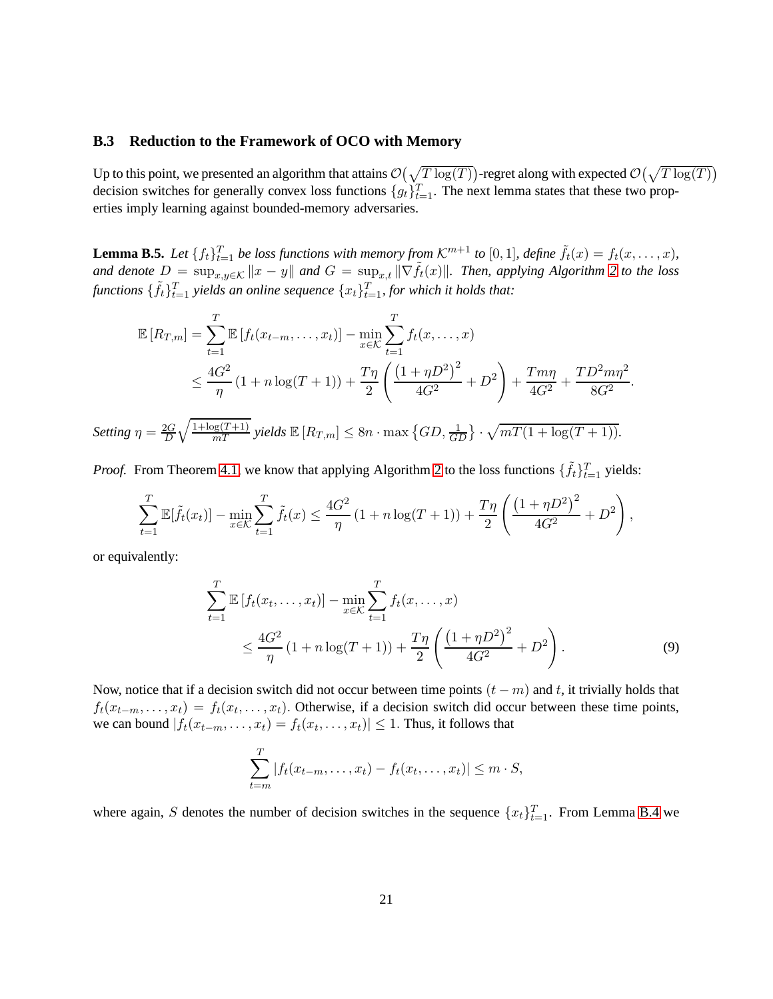#### <span id="page-20-1"></span>**B.3 Reduction to the Framework of OCO with Memory**

Up to this point, we presented an algorithm that attains  $\mathcal{O}(\sqrt{T \log(T)})$ -regret along with expected  $\mathcal{O}(\sqrt{T \log(T)})$ decision switches for generally convex loss functions  $\{g_t\}_{t=1}^T$ . The next lemma states that these two properties imply learning against bounded-memory adversaries.

<span id="page-20-0"></span>**Lemma B.5.** Let  $\{f_t\}_{t=1}^T$  be loss functions with memory from  $K^{m+1}$  to  $[0, 1]$ *, define*  $\tilde{f}_t(x) = f_t(x, \ldots, x)$ *, and denote*  $D = \sup_{x,y \in \mathcal{K}} ||x - y||$  *and*  $G = \sup_{x,t} ||\nabla \tilde{f}_t(x)||$ *. Then, applying Algorithm* [2](#page-4-0) *to the loss* functions  $\{\tilde{f}_t\}_{t=1}^T$  yields an online sequence  $\{x_t\}_{t=1}^T$ , for which it holds that:

$$
\mathbb{E}\left[R_{T,m}\right] = \sum_{t=1}^{T} \mathbb{E}\left[f_t(x_{t-m},\ldots,x_t)\right] - \min_{x \in \mathcal{K}} \sum_{t=1}^{T} f_t(x,\ldots,x)
$$
\n
$$
\leq \frac{4G^2}{\eta} \left(1 + n\log(T+1)\right) + \frac{T\eta}{2} \left(\frac{\left(1 + \eta D^2\right)^2}{4G^2} + D^2\right) + \frac{Tm\eta}{4G^2} + \frac{TD^2m\eta^2}{8G^2}.
$$
\nSetting  $\eta = \frac{2G}{D} \sqrt{\frac{1 + \log(T+1)}{mT}}$  yields  $\mathbb{E}\left[R_{T,m}\right] \leq 8n \cdot \max\left\{GD, \frac{1}{GD}\right\} \cdot \sqrt{mT(1 + \log(T+1))}.$ 

*Proof.* From Theorem [4.1,](#page-4-1) we know that applying Algorithm [2](#page-4-0) to the loss functions  $\{\tilde{f}_t\}_{t=1}^T$  yields:

$$
\sum_{t=1}^{T} \mathbb{E}[\tilde{f}_t(x_t)] - \min_{x \in \mathcal{K}} \sum_{t=1}^{T} \tilde{f}_t(x) \le \frac{4G^2}{\eta} (1 + n \log(T+1)) + \frac{T\eta}{2} \left( \frac{(1 + \eta D^2)^2}{4G^2} + D^2 \right),
$$

or equivalently:

$$
\sum_{t=1}^{T} \mathbb{E} \left[ f_t(x_t, \dots, x_t) \right] - \min_{x \in \mathcal{K}} \sum_{t=1}^{T} f_t(x, \dots, x)
$$
\n
$$
\leq \frac{4G^2}{\eta} \left( 1 + n \log(T+1) \right) + \frac{T\eta}{2} \left( \frac{\left( 1 + \eta D^2 \right)^2}{4G^2} + D^2 \right). \tag{9}
$$

Now, notice that if a decision switch did not occur between time points  $(t - m)$  and t, it trivially holds that  $f_t(x_{t-m},...,x_t) = f_t(x_t,...,x_t)$ . Otherwise, if a decision switch did occur between these time points, we can bound  $|f_t(x_{t-m},...,x_t) = f_t(x_t,...,x_t)| \leq 1$ . Thus, it follows that

<span id="page-20-2"></span>
$$
\sum_{t=m}^{T} |f_t(x_{t-m},\ldots,x_t) - f_t(x_t,\ldots,x_t)| \leq m \cdot S,
$$

where again, S denotes the number of decision switches in the sequence  ${x_t}_{t=1}^T$ . From Lemma [B.4](#page-19-0) we